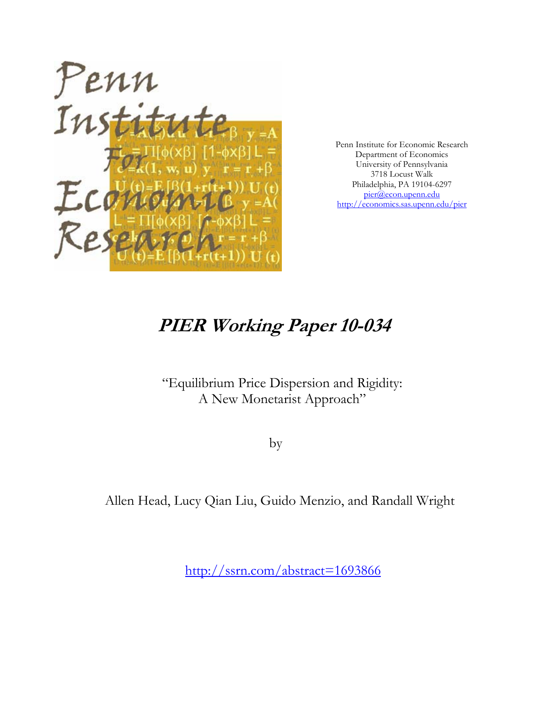

Penn Institute for Economic Research Department of Economics University of Pennsylvania 3718 Locust Walk Philadelphia, PA 19104-6297 pier@econ.upenn.edu http://economics.sas.upenn.edu/pier

# **PIER Working Paper 10-034**

## "Equilibrium Price Dispersion and Rigidity: A New Monetarist Approach"

by

Allen Head, Lucy Qian Liu, Guido Menzio, and Randall Wright

http://ssrn.com/abstract=1693866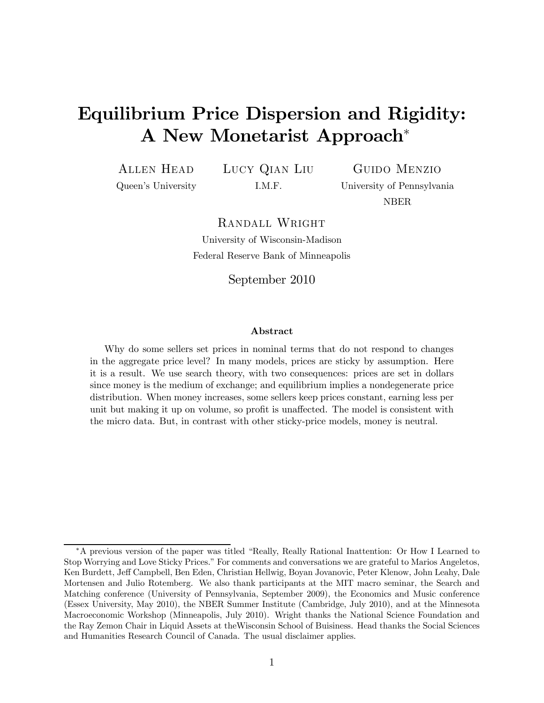# Equilibrium Price Dispersion and Rigidity: A New Monetarist Approach<sup>∗</sup>

Allen Head Queen's University Lucy Qian Liu I.M.F.

Guido Menzio University of Pennsylvania NBER

Randall Wright

University of Wisconsin-Madison Federal Reserve Bank of Minneapolis

September 2010

#### Abstract

Why do some sellers set prices in nominal terms that do not respond to changes in the aggregate price level? In many models, prices are sticky by assumption. Here it is a result. We use search theory, with two consequences: prices are set in dollars since money is the medium of exchange; and equilibrium implies a nondegenerate price distribution. When money increases, some sellers keep prices constant, earning less per unit but making it up on volume, so profit is unaffected. The model is consistent with the micro data. But, in contrast with other sticky-price models, money is neutral.

<sup>∗</sup>A previous version of the paper was titled "Really, Really Rational Inattention: Or How I Learned to Stop Worrying and Love Sticky Prices." For comments and conversations we are grateful to Marios Angeletos, Ken Burdett, Jeff Campbell, Ben Eden, Christian Hellwig, Boyan Jovanovic, Peter Klenow, John Leahy, Dale Mortensen and Julio Rotemberg. We also thank participants at the MIT macro seminar, the Search and Matching conference (University of Pennsylvania, September 2009), the Economics and Music conference (Essex University, May 2010), the NBER Summer Institute (Cambridge, July 2010), and at the Minnesota Macroeconomic Workshop (Minneapolis, July 2010). Wright thanks the National Science Foundation and the Ray Zemon Chair in Liquid Assets at theWisconsin School of Buisiness. Head thanks the Social Sciences and Humanities Research Council of Canada. The usual disclaimer applies.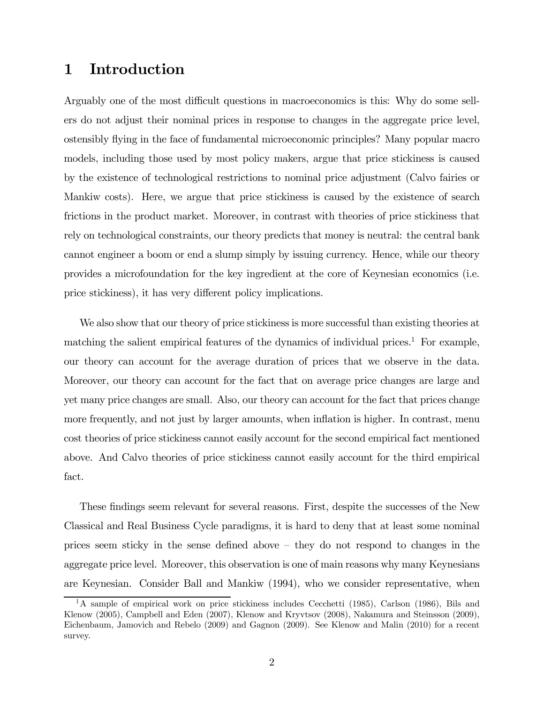### 1 Introduction

Arguably one of the most difficult questions in macroeconomics is this: Why do some sellers do not adjust their nominal prices in response to changes in the aggregate price level, ostensibly flying in the face of fundamental microeconomic principles? Many popular macro models, including those used by most policy makers, argue that price stickiness is caused by the existence of technological restrictions to nominal price adjustment (Calvo fairies or Mankiw costs). Here, we argue that price stickiness is caused by the existence of search frictions in the product market. Moreover, in contrast with theories of price stickiness that rely on technological constraints, our theory predicts that money is neutral: the central bank cannot engineer a boom or end a slump simply by issuing currency. Hence, while our theory provides a microfoundation for the key ingredient at the core of Keynesian economics (i.e. price stickiness), it has very different policy implications.

We also show that our theory of price stickiness is more successful than existing theories at matching the salient empirical features of the dynamics of individual prices.<sup>1</sup> For example, our theory can account for the average duration of prices that we observe in the data. Moreover, our theory can account for the fact that on average price changes are large and yet many price changes are small. Also, our theory can account for the fact that prices change more frequently, and not just by larger amounts, when inflation is higher. In contrast, menu cost theories of price stickiness cannot easily account for the second empirical fact mentioned above. And Calvo theories of price stickiness cannot easily account for the third empirical fact.

These findings seem relevant for several reasons. First, despite the successes of the New Classical and Real Business Cycle paradigms, it is hard to deny that at least some nominal prices seem sticky in the sense defined above — they do not respond to changes in the aggregate price level. Moreover, this observation is one of main reasons why many Keynesians are Keynesian. Consider Ball and Mankiw (1994), who we consider representative, when

<sup>&</sup>lt;sup>1</sup>A sample of empirical work on price stickiness includes Cecchetti (1985), Carlson (1986), Bils and Klenow (2005), Campbell and Eden (2007), Klenow and Kryvtsov (2008), Nakamura and Steinsson (2009), Eichenbaum, Jamovich and Rebelo (2009) and Gagnon (2009). See Klenow and Malin (2010) for a recent survey.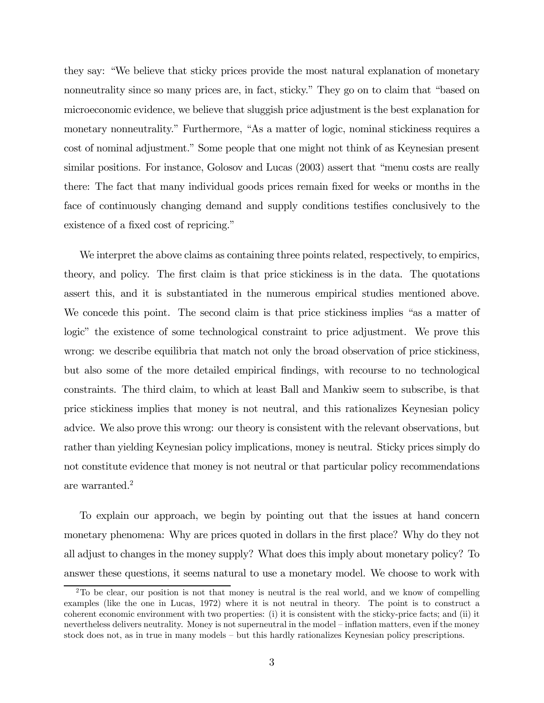they say: "We believe that sticky prices provide the most natural explanation of monetary nonneutrality since so many prices are, in fact, sticky." They go on to claim that "based on microeconomic evidence, we believe that sluggish price adjustment is the best explanation for monetary nonneutrality." Furthermore, "As a matter of logic, nominal stickiness requires a cost of nominal adjustment." Some people that one might not think of as Keynesian present similar positions. For instance, Golosov and Lucas (2003) assert that "menu costs are really there: The fact that many individual goods prices remain fixed for weeks or months in the face of continuously changing demand and supply conditions testifies conclusively to the existence of a fixed cost of repricing."

We interpret the above claims as containing three points related, respectively, to empirics, theory, and policy. The first claim is that price stickiness is in the data. The quotations assert this, and it is substantiated in the numerous empirical studies mentioned above. We concede this point. The second claim is that price stickiness implies "as a matter of logic" the existence of some technological constraint to price adjustment. We prove this wrong: we describe equilibria that match not only the broad observation of price stickiness, but also some of the more detailed empirical findings, with recourse to no technological constraints. The third claim, to which at least Ball and Mankiw seem to subscribe, is that price stickiness implies that money is not neutral, and this rationalizes Keynesian policy advice. We also prove this wrong: our theory is consistent with the relevant observations, but rather than yielding Keynesian policy implications, money is neutral. Sticky prices simply do not constitute evidence that money is not neutral or that particular policy recommendations are warranted.2

To explain our approach, we begin by pointing out that the issues at hand concern monetary phenomena: Why are prices quoted in dollars in the first place? Why do they not all adjust to changes in the money supply? What does this imply about monetary policy? To answer these questions, it seems natural to use a monetary model. We choose to work with

<sup>2</sup>To be clear, our position is not that money is neutral is the real world, and we know of compelling examples (like the one in Lucas, 1972) where it is not neutral in theory. The point is to construct a coherent economic environment with two properties: (i) it is consistent with the sticky-price facts; and (ii) it nevertheless delivers neutrality. Money is not superneutral in the model — inflation matters, even if the money stock does not, as in true in many models — but this hardly rationalizes Keynesian policy prescriptions.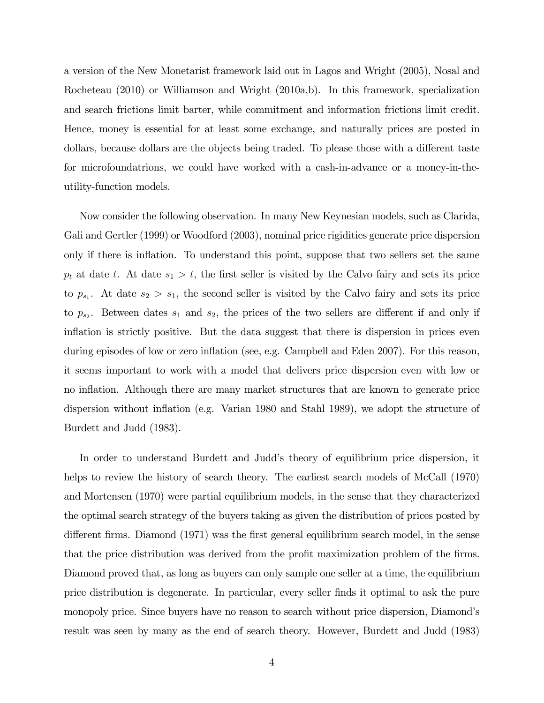a version of the New Monetarist framework laid out in Lagos and Wright (2005), Nosal and Rocheteau (2010) or Williamson and Wright (2010a,b). In this framework, specialization and search frictions limit barter, while commitment and information frictions limit credit. Hence, money is essential for at least some exchange, and naturally prices are posted in dollars, because dollars are the objects being traded. To please those with a different taste for microfoundatrions, we could have worked with a cash-in-advance or a money-in-theutility-function models.

Now consider the following observation. In many New Keynesian models, such as Clarida, Gali and Gertler (1999) or Woodford (2003), nominal price rigidities generate price dispersion only if there is inflation. To understand this point, suppose that two sellers set the same  $p_t$  at date t. At date  $s_1 > t$ , the first seller is visited by the Calvo fairy and sets its price to  $p_{s_1}$ . At date  $s_2 > s_1$ , the second seller is visited by the Calvo fairy and sets its price to  $p_{s_2}$ . Between dates  $s_1$  and  $s_2$ , the prices of the two sellers are different if and only if inflation is strictly positive. But the data suggest that there is dispersion in prices even during episodes of low or zero inflation (see, e.g. Campbell and Eden 2007). For this reason, it seems important to work with a model that delivers price dispersion even with low or no inflation. Although there are many market structures that are known to generate price dispersion without inflation (e.g. Varian 1980 and Stahl 1989), we adopt the structure of Burdett and Judd (1983).

In order to understand Burdett and Judd's theory of equilibrium price dispersion, it helps to review the history of search theory. The earliest search models of McCall (1970) and Mortensen (1970) were partial equilibrium models, in the sense that they characterized the optimal search strategy of the buyers taking as given the distribution of prices posted by different firms. Diamond (1971) was the first general equilibrium search model, in the sense that the price distribution was derived from the profit maximization problem of the firms. Diamond proved that, as long as buyers can only sample one seller at a time, the equilibrium price distribution is degenerate. In particular, every seller finds it optimal to ask the pure monopoly price. Since buyers have no reason to search without price dispersion, Diamond's result was seen by many as the end of search theory. However, Burdett and Judd (1983)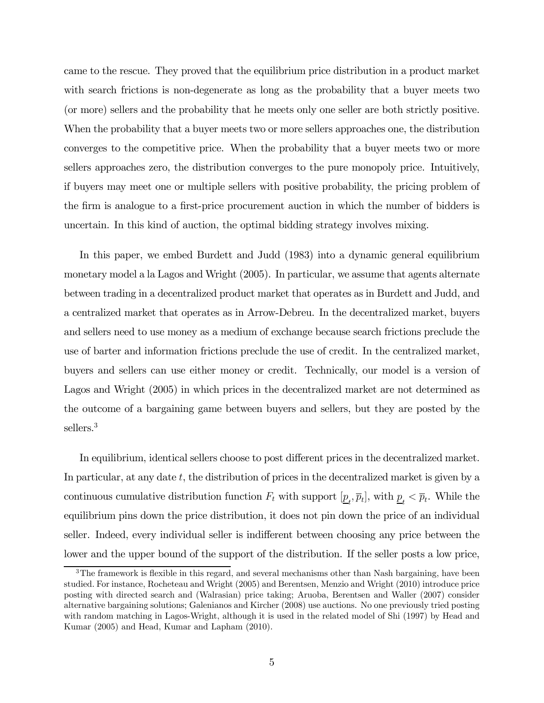came to the rescue. They proved that the equilibrium price distribution in a product market with search frictions is non-degenerate as long as the probability that a buyer meets two (or more) sellers and the probability that he meets only one seller are both strictly positive. When the probability that a buyer meets two or more sellers approaches one, the distribution converges to the competitive price. When the probability that a buyer meets two or more sellers approaches zero, the distribution converges to the pure monopoly price. Intuitively, if buyers may meet one or multiple sellers with positive probability, the pricing problem of the firm is analogue to a first-price procurement auction in which the number of bidders is uncertain. In this kind of auction, the optimal bidding strategy involves mixing.

In this paper, we embed Burdett and Judd (1983) into a dynamic general equilibrium monetary model a la Lagos and Wright (2005). In particular, we assume that agents alternate between trading in a decentralized product market that operates as in Burdett and Judd, and a centralized market that operates as in Arrow-Debreu. In the decentralized market, buyers and sellers need to use money as a medium of exchange because search frictions preclude the use of barter and information frictions preclude the use of credit. In the centralized market, buyers and sellers can use either money or credit. Technically, our model is a version of Lagos and Wright (2005) in which prices in the decentralized market are not determined as the outcome of a bargaining game between buyers and sellers, but they are posted by the sellers.<sup>3</sup>

In equilibrium, identical sellers choose to post different prices in the decentralized market. In particular, at any date  $t$ , the distribution of prices in the decentralized market is given by a continuous cumulative distribution function  $F_t$  with support  $[\underline{p}_t, \overline{p}_t]$ , with  $\underline{p}_t < \overline{p}_t$ . While the equilibrium pins down the price distribution, it does not pin down the price of an individual seller. Indeed, every individual seller is indifferent between choosing any price between the lower and the upper bound of the support of the distribution. If the seller posts a low price,

<sup>&</sup>lt;sup>3</sup>The framework is flexible in this regard, and several mechanisms other than Nash bargaining, have been studied. For instance, Rocheteau and Wright (2005) and Berentsen, Menzio and Wright (2010) introduce price posting with directed search and (Walrasian) price taking; Aruoba, Berentsen and Waller (2007) consider alternative bargaining solutions; Galenianos and Kircher (2008) use auctions. No one previously tried posting with random matching in Lagos-Wright, although it is used in the related model of Shi (1997) by Head and Kumar (2005) and Head, Kumar and Lapham (2010).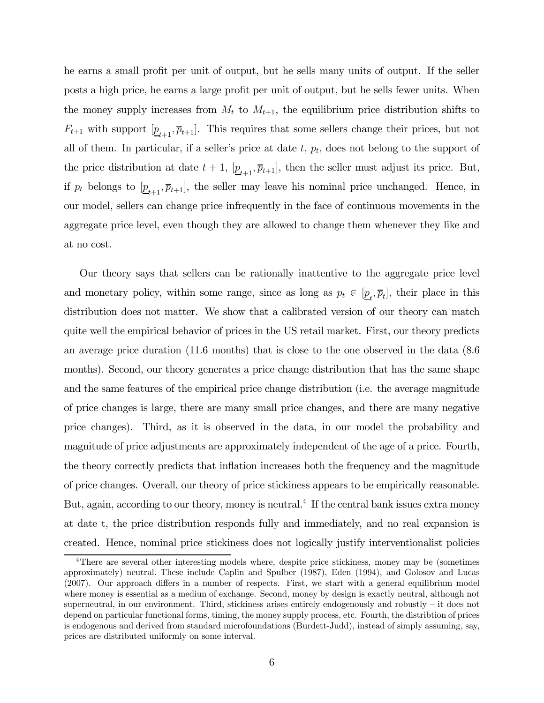he earns a small profit per unit of output, but he sells many units of output. If the seller posts a high price, he earns a large profit per unit of output, but he sells fewer units. When the money supply increases from  $M_t$  to  $M_{t+1}$ , the equilibrium price distribution shifts to  $F_{t+1}$  with support  $[\underline{p}_{t+1}, \overline{p}_{t+1}]$ . This requires that some sellers change their prices, but not all of them. In particular, if a seller's price at date  $t, p_t$ , does not belong to the support of the price distribution at date  $t + 1$ ,  $[\underline{p}_{t+1}, \overline{p}_{t+1}]$ , then the seller must adjust its price. But, if  $p_t$  belongs to  $[\underline{p}_{t+1}, \overline{p}_{t+1}]$ , the seller may leave his nominal price unchanged. Hence, in our model, sellers can change price infrequently in the face of continuous movements in the aggregate price level, even though they are allowed to change them whenever they like and at no cost.

Our theory says that sellers can be rationally inattentive to the aggregate price level and monetary policy, within some range, since as long as  $p_t \in [\underline{p}_t, \overline{p}_t]$ , their place in this distribution does not matter. We show that a calibrated version of our theory can match quite well the empirical behavior of prices in the US retail market. First, our theory predicts an average price duration (11.6 months) that is close to the one observed in the data (8.6 months). Second, our theory generates a price change distribution that has the same shape and the same features of the empirical price change distribution (i.e. the average magnitude of price changes is large, there are many small price changes, and there are many negative price changes). Third, as it is observed in the data, in our model the probability and magnitude of price adjustments are approximately independent of the age of a price. Fourth, the theory correctly predicts that inflation increases both the frequency and the magnitude of price changes. Overall, our theory of price stickiness appears to be empirically reasonable. But, again, according to our theory, money is neutral.<sup>4</sup> If the central bank issues extra money at date t, the price distribution responds fully and immediately, and no real expansion is created. Hence, nominal price stickiness does not logically justify interventionalist policies

<sup>&</sup>lt;sup>4</sup>There are several other interesting models where, despite price stickiness, money may be (sometimes approximately) neutral. These include Caplin and Spulber (1987), Eden (1994), and Golosov and Lucas (2007). Our approach differs in a number of respects. First, we start with a general equilibrium model where money is essential as a mediun of exchange. Second, money by design is exactly neutral, although not superneutral, in our environment. Third, stickiness arises entirely endogenously and robustly — it does not depend on particular functional forms, timing, the money supply process, etc. Fourth, the distribtion of prices is endogenous and derived from standard microfoundations (Burdett-Judd), instead of simply assuming, say, prices are distributed uniformly on some interval.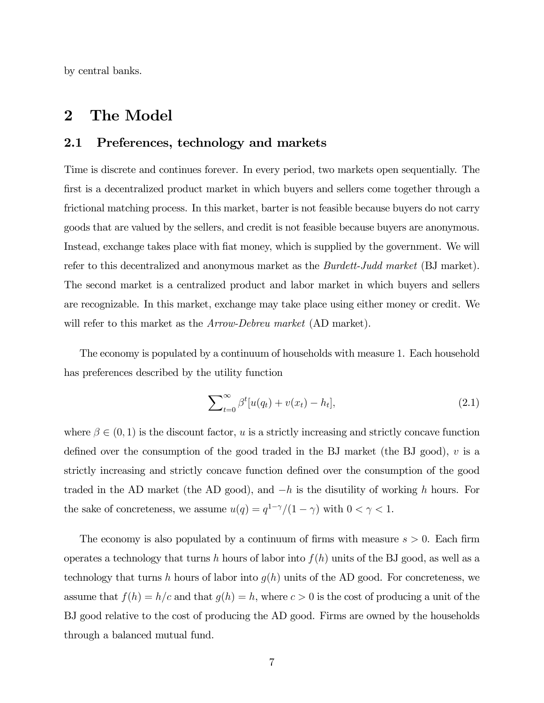by central banks.

### 2 The Model

#### 2.1 Preferences, technology and markets

Time is discrete and continues forever. In every period, two markets open sequentially. The first is a decentralized product market in which buyers and sellers come together through a frictional matching process. In this market, barter is not feasible because buyers do not carry goods that are valued by the sellers, and credit is not feasible because buyers are anonymous. Instead, exchange takes place with fiat money, which is supplied by the government. We will refer to this decentralized and anonymous market as the Burdett-Judd market (BJ market). The second market is a centralized product and labor market in which buyers and sellers are recognizable. In this market, exchange may take place using either money or credit. We will refer to this market as the *Arrow-Debreu market* (AD market).

The economy is populated by a continuum of households with measure 1. Each household has preferences described by the utility function

$$
\sum_{t=0}^{\infty} \beta^t [u(q_t) + v(x_t) - h_t], \tag{2.1}
$$

where  $\beta \in (0, 1)$  is the discount factor, u is a strictly increasing and strictly concave function defined over the consumption of the good traded in the BJ market (the BJ good),  $v$  is a strictly increasing and strictly concave function defined over the consumption of the good traded in the AD market (the AD good), and  $-h$  is the disutility of working h hours. For the sake of concreteness, we assume  $u(q) = q^{1-\gamma}/(1-\gamma)$  with  $0 < \gamma < 1.$ 

The economy is also populated by a continuum of firms with measure  $s > 0$ . Each firm operates a technology that turns h hours of labor into  $f(h)$  units of the BJ good, as well as a technology that turns h hours of labor into  $g(h)$  units of the AD good. For concreteness, we assume that  $f(h) = h/c$  and that  $g(h) = h$ , where  $c > 0$  is the cost of producing a unit of the BJ good relative to the cost of producing the AD good. Firms are owned by the households through a balanced mutual fund.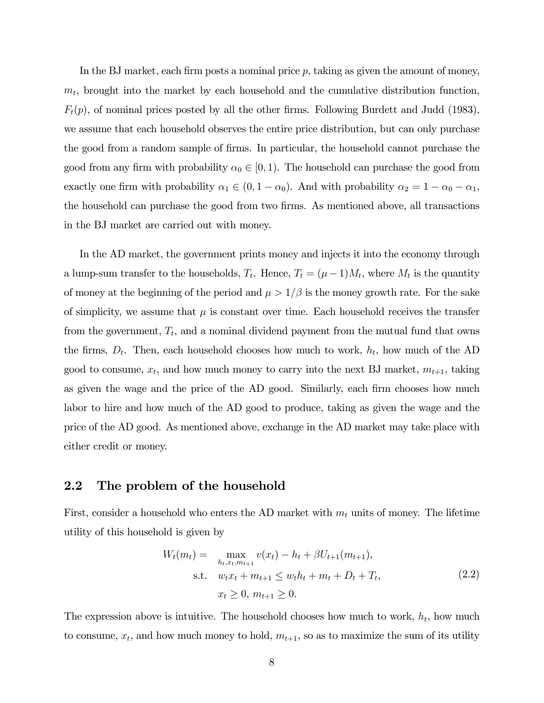In the BJ market, each firm posts a nominal price  $p$ , taking as given the amount of money,  $m_t$ , brought into the market by each household and the cumulative distribution function,  $F_t(p)$ , of nominal prices posted by all the other firms. Following Burdett and Judd (1983), we assume that each household observes the entire price distribution, but can only purchase the good from a random sample of firms. In particular, the household cannot purchase the good from any firm with probability  $\alpha_0 \in [0, 1)$ . The household can purchase the good from exactly one firm with probability  $\alpha_1 \in (0, 1 - \alpha_0)$ . And with probability  $\alpha_2 = 1 - \alpha_0 - \alpha_1$ , the household can purchase the good from two firms. As mentioned above, all transactions in the BJ market are carried out with money.

In the AD market, the government prints money and injects it into the economy through a lump-sum transfer to the households,  $T_t$ . Hence,  $T_t = (\mu - 1)M_t$ , where  $M_t$  is the quantity of money at the beginning of the period and  $\mu > 1/\beta$  is the money growth rate. For the sake of simplicity, we assume that  $\mu$  is constant over time. Each household receives the transfer from the government,  $T_t$ , and a nominal dividend payment from the mutual fund that owns the firms,  $D_t$ . Then, each household chooses how much to work,  $h_t$ , how much of the AD good to consume,  $x_t$ , and how much money to carry into the next BJ market,  $m_{t+1}$ , taking as given the wage and the price of the AD good. Similarly, each firm chooses how much labor to hire and how much of the AD good to produce, taking as given the wage and the price of the AD good. As mentioned above, exchange in the AD market may take place with either credit or money.

#### 2.2 The problem of the household

First, consider a household who enters the AD market with  $m_t$  units of money. The lifetime utility of this household is given by

$$
W_t(m_t) = \max_{h_t, x_t, m_{t+1}} v(x_t) - h_t + \beta U_{t+1}(m_{t+1}),
$$
  
s.t.  $w_t x_t + m_{t+1} \le w_t h_t + m_t + D_t + T_t,$   
 $x_t \ge 0, m_{t+1} \ge 0.$  (2.2)

The expression above is intuitive. The household chooses how much to work,  $h_t$ , how much to consume,  $x_t$ , and how much money to hold,  $m_{t+1}$ , so as to maximize the sum of its utility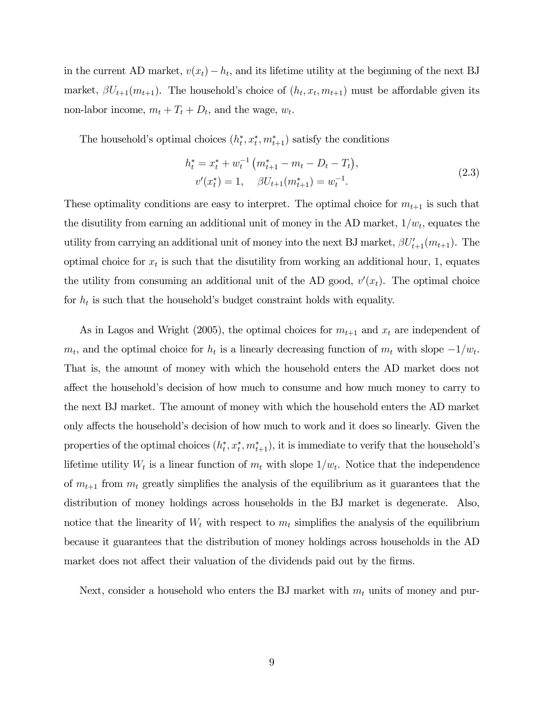in the current AD market,  $v(x_t) - h_t$ , and its lifetime utility at the beginning of the next BJ market,  $\beta U_{t+1}(m_{t+1})$ . The household's choice of  $(h_t, x_t, m_{t+1})$  must be affordable given its non-labor income,  $m_t + T_t + D_t$ , and the wage,  $w_t$ .

The household's optimal choices  $(h_t^*, x_t^*, m_{t+1}^*)$  satisfy the conditions

$$
h_t^* = x_t^* + w_t^{-1} \left( m_{t+1}^* - m_t - D_t - T_t \right),
$$
  
\n
$$
v'(x_t^*) = 1, \quad \beta U_{t+1}(m_{t+1}^*) = w_t^{-1}.
$$
\n(2.3)

These optimality conditions are easy to interpret. The optimal choice for  $m_{t+1}$  is such that the disutility from earning an additional unit of money in the AD market,  $1/w_t$ , equates the utility from carrying an additional unit of money into the next BJ market,  $\beta U_{t+1}'(m_{t+1})$ . The optimal choice for  $x_t$  is such that the disutility from working an additional hour, 1, equates the utility from consuming an additional unit of the AD good,  $v'(x_t)$ . The optimal choice for  $h_t$  is such that the household's budget constraint holds with equality.

As in Lagos and Wright (2005), the optimal choices for  $m_{t+1}$  and  $x_t$  are independent of  $m_t$ , and the optimal choice for  $h_t$  is a linearly decreasing function of  $m_t$  with slope  $-1/w_t$ . That is, the amount of money with which the household enters the AD market does not affect the household's decision of how much to consume and how much money to carry to the next BJ market. The amount of money with which the household enters the AD market only affects the household's decision of how much to work and it does so linearly. Given the properties of the optimal choices  $(h_t^*, x_t^*, m_{t+1}^*)$ , it is immediate to verify that the household's lifetime utility  $W_t$  is a linear function of  $m_t$  with slope  $1/w_t$ . Notice that the independence of  $m_{t+1}$  from  $m_t$  greatly simplifies the analysis of the equilibrium as it guarantees that the distribution of money holdings across households in the BJ market is degenerate. Also, notice that the linearity of  $W_t$  with respect to  $m_t$  simplifies the analysis of the equilibrium because it guarantees that the distribution of money holdings across households in the AD market does not affect their valuation of the dividends paid out by the firms.

Next, consider a household who enters the BJ market with  $m_t$  units of money and pur-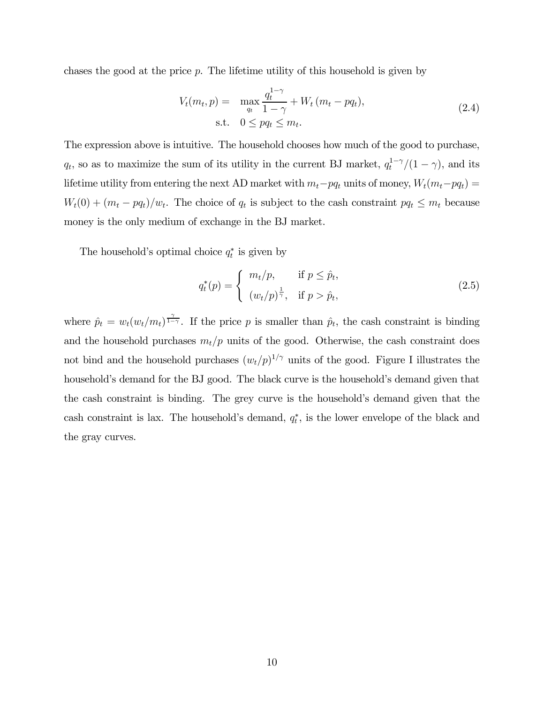chases the good at the price  $p$ . The lifetime utility of this household is given by

$$
V_t(m_t, p) = \max_{q_t} \frac{q_t^{1-\gamma}}{1-\gamma} + W_t(m_t - pq_t),
$$
  
s.t.  $0 \le pq_t \le m_t.$  (2.4)

The expression above is intuitive. The household chooses how much of the good to purchase,  $q_t$ , so as to maximize the sum of its utility in the current BJ market,  $q_t^{1-\gamma}/(1-\gamma)$ , and its lifetime utility from entering the next AD market with  $m_t-pq_t$  units of money,  $W_t(m_t-pq_t)$  =  $W_t(0) + (m_t - pq_t)/w_t$ . The choice of  $q_t$  is subject to the cash constraint  $pq_t \leq m_t$  because money is the only medium of exchange in the BJ market.

The household's optimal choice  $q_t^*$  is given by

$$
q_t^*(p) = \begin{cases} m_t/p, & \text{if } p \leq \hat{p}_t, \\ (w_t/p)^{\frac{1}{\gamma}}, & \text{if } p > \hat{p}_t, \end{cases}
$$
 (2.5)

where  $\hat{p}_t = w_t(w_t/m_t)^{\frac{\gamma}{1-\gamma}}$ . If the price p is smaller than  $\hat{p}_t$ , the cash constraint is binding and the household purchases  $m_t/p$  units of the good. Otherwise, the cash constraint does not bind and the household purchases  $(w_t/p)^{1/\gamma}$  units of the good. Figure I illustrates the household's demand for the BJ good. The black curve is the household's demand given that the cash constraint is binding. The grey curve is the household's demand given that the cash constraint is lax. The household's demand,  $q_t^*$ , is the lower envelope of the black and the gray curves.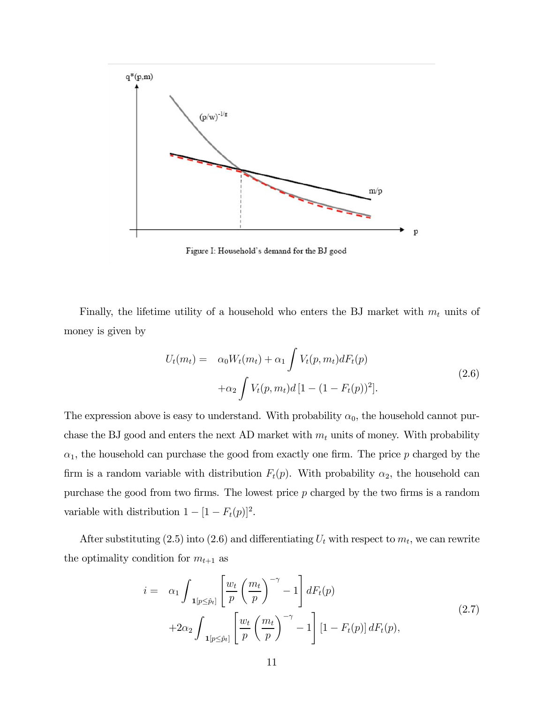

Figure I: Household's demand for the BJ good

Finally, the lifetime utility of a household who enters the BJ market with  $m_t$  units of money is given by

$$
U_t(m_t) = \alpha_0 W_t(m_t) + \alpha_1 \int V_t(p, m_t) dF_t(p)
$$
  
+
$$
\alpha_2 \int V_t(p, m_t) d[1 - (1 - F_t(p))^2].
$$
\n(2.6)

The expression above is easy to understand. With probability  $\alpha_0$ , the household cannot purchase the BJ good and enters the next AD market with  $m_t$  units of money. With probability  $\alpha_1$ , the household can purchase the good from exactly one firm. The price p charged by the firm is a random variable with distribution  $F_t(p)$ . With probability  $\alpha_2$ , the household can purchase the good from two firms. The lowest price  $p$  charged by the two firms is a random variable with distribution  $1 - [1 - F_t(p)]^2$ .

After substituting (2.5) into (2.6) and differentiating  $U_t$  with respect to  $m_t$ , we can rewrite the optimality condition for  $m_{t+1}$  as

$$
i = \alpha_1 \int_{\mathbf{1}[p \le \hat{p}_t]} \left[ \frac{w_t}{p} \left( \frac{m_t}{p} \right)^{-\gamma} - 1 \right] dF_t(p)
$$
  
+2\alpha\_2 \int\_{\mathbf{1}[p \le \hat{p}\_t]} \left[ \frac{w\_t}{p} \left( \frac{m\_t}{p} \right)^{-\gamma} - 1 \right] \left[ 1 - F\_t(p) \right] dF\_t(p), \tag{2.7}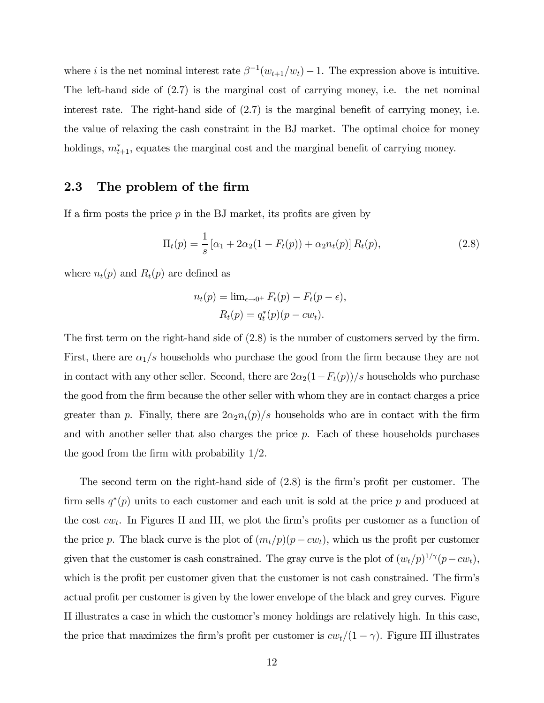where *i* is the net nominal interest rate  $\beta^{-1}(w_{t+1}/w_t) - 1$ . The expression above is intuitive. The left-hand side of (2.7) is the marginal cost of carrying money, i.e. the net nominal interest rate. The right-hand side of (2.7) is the marginal benefit of carrying money, i.e. the value of relaxing the cash constraint in the BJ market. The optimal choice for money holdings,  $m^*_{t+1}$ , equates the marginal cost and the marginal benefit of carrying money.

### 2.3 The problem of the firm

If a firm posts the price  $p$  in the BJ market, its profits are given by

$$
\Pi_t(p) = \frac{1}{s} \left[ \alpha_1 + 2\alpha_2 (1 - F_t(p)) + \alpha_2 n_t(p) \right] R_t(p), \tag{2.8}
$$

where  $n_t(p)$  and  $R_t(p)$  are defined as

$$
n_t(p) = \lim_{\epsilon \to 0^+} F_t(p) - F_t(p - \epsilon),
$$
  

$$
R_t(p) = q_t^*(p)(p - cw_t).
$$

The first term on the right-hand side of (2.8) is the number of customers served by the firm. First, there are  $\alpha_1/s$  households who purchase the good from the firm because they are not in contact with any other seller. Second, there are  $2\alpha_2(1-F_t(p))/s$  households who purchase the good from the firm because the other seller with whom they are in contact charges a price greater than p. Finally, there are  $2\alpha_2 n_t(p)/s$  households who are in contact with the firm and with another seller that also charges the price  $p$ . Each of these households purchases the good from the firm with probability 1/2.

The second term on the right-hand side of (2.8) is the firm's profit per customer. The firm sells  $q^*(p)$  units to each customer and each unit is sold at the price p and produced at the cost  $cw_t$ . In Figures II and III, we plot the firm's profits per customer as a function of the price p. The black curve is the plot of  $(m_t/p)(p - cw_t)$ , which us the profit per customer given that the customer is cash constrained. The gray curve is the plot of  $(w_t/p)^{1/\gamma}(p-cw_t)$ , which is the profit per customer given that the customer is not cash constrained. The firm's actual profit per customer is given by the lower envelope of the black and grey curves. Figure II illustrates a case in which the customer's money holdings are relatively high. In this case, the price that maximizes the firm's profit per customer is  $cw_t/(1 - \gamma)$ . Figure III illustrates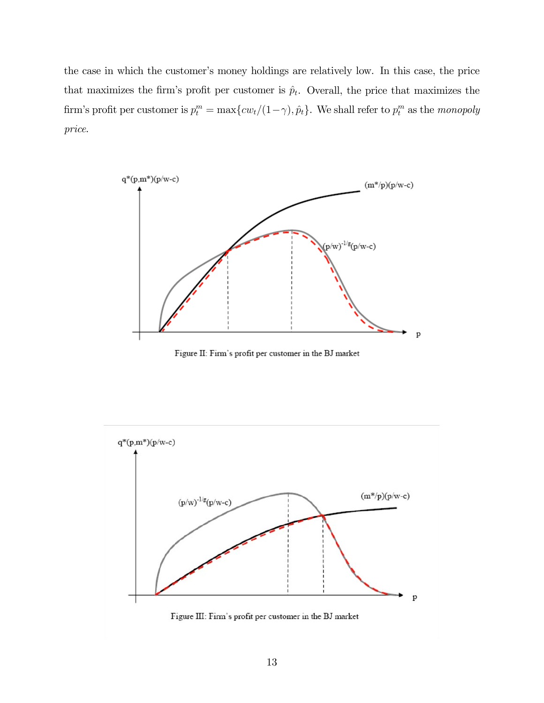the case in which the customer's money holdings are relatively low. In this case, the price that maximizes the firm's profit per customer is  $\hat{p}_t$ . Overall, the price that maximizes the firm's profit per customer is  $p_t^m = \max\{cw_t/(1-\gamma), \hat{p}_t\}$ . We shall refer to  $p_t^m$  as the monopoly price.



Figure II: Firm's profit per customer in the BJ market

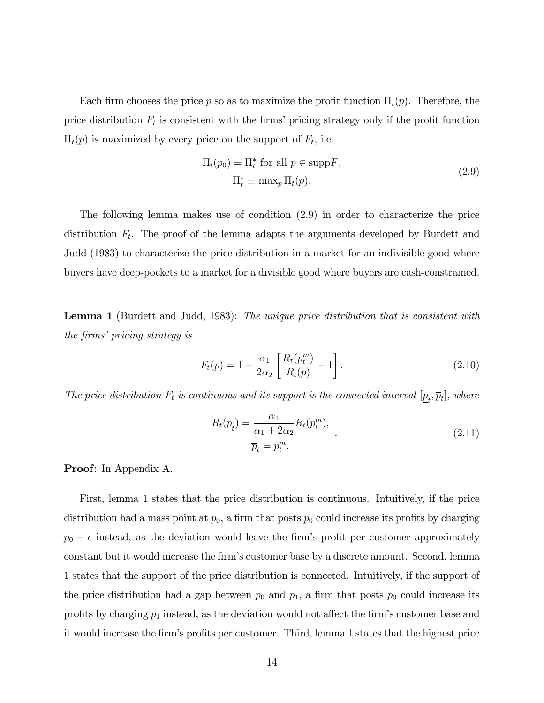Each firm chooses the price p so as to maximize the profit function  $\Pi_t(p)$ . Therefore, the price distribution  $F_t$  is consistent with the firms' pricing strategy only if the profit function  $\Pi_t(p)$  is maximized by every price on the support of  $F_t$ , i.e.

$$
\Pi_t(p_0) = \Pi_t^* \text{ for all } p \in \text{supp} F,
$$
  

$$
\Pi_t^* \equiv \max_p \Pi_t(p).
$$
 (2.9)

The following lemma makes use of condition (2.9) in order to characterize the price distribution  $F_t$ . The proof of the lemma adapts the arguments developed by Burdett and Judd (1983) to characterize the price distribution in a market for an indivisible good where buyers have deep-pockets to a market for a divisible good where buyers are cash-constrained.

**Lemma 1** (Burdett and Judd, 1983): The unique price distribution that is consistent with the firms' pricing strategy is

$$
F_t(p) = 1 - \frac{\alpha_1}{2\alpha_2} \left[ \frac{R_t(p_t^m)}{R_t(p)} - 1 \right].
$$
 (2.10)

The price distribution  $F_t$  is continuous and its support is the connected interval  $[\underline{p}_t, \overline{p}_t]$ , where

$$
R_t(\underline{p}_t) = \frac{\alpha_1}{\alpha_1 + 2\alpha_2} R_t(p_t^m),
$$
  
\n
$$
\overline{p}_t = p_t^m.
$$
\n(2.11)

Proof: In Appendix A.

First, lemma 1 states that the price distribution is continuous. Intuitively, if the price distribution had a mass point at  $p_0$ , a firm that posts  $p_0$  could increase its profits by charging  $p_0 - \epsilon$  instead, as the deviation would leave the firm's profit per customer approximately constant but it would increase the firm's customer base by a discrete amount. Second, lemma 1 states that the support of the price distribution is connected. Intuitively, if the support of the price distribution had a gap between  $p_0$  and  $p_1$ , a firm that posts  $p_0$  could increase its profits by charging  $p_1$  instead, as the deviation would not affect the firm's customer base and it would increase the firm's profits per customer. Third, lemma 1 states that the highest price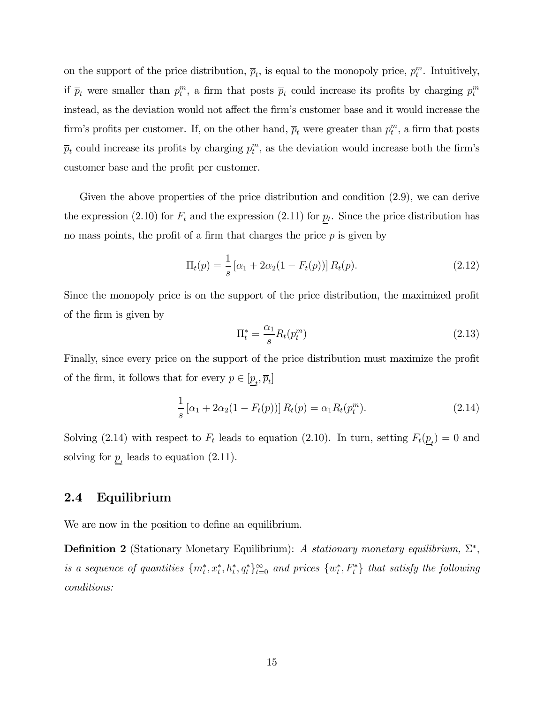on the support of the price distribution,  $\bar{p}_t$ , is equal to the monopoly price,  $p_t^m$ . Intuitively, if  $\bar{p}_t$  were smaller than  $p_t^m$ , a firm that posts  $\bar{p}_t$  could increase its profits by charging  $p_t^m$ instead, as the deviation would not affect the firm's customer base and it would increase the firm's profits per customer. If, on the other hand,  $\overline{p}_t$  were greater than  $p_t^m$ , a firm that posts  $\overline{p}_t$  could increase its profits by charging  $p_t^m$ , as the deviation would increase both the firm's customer base and the profit per customer.

Given the above properties of the price distribution and condition (2.9), we can derive the expression (2.10) for  $F_t$  and the expression (2.11) for  $p_t$ . Since the price distribution has no mass points, the profit of a firm that charges the price  $p$  is given by

$$
\Pi_t(p) = \frac{1}{s} \left[ \alpha_1 + 2\alpha_2 (1 - F_t(p)) \right] R_t(p). \tag{2.12}
$$

Since the monopoly price is on the support of the price distribution, the maximized profit of the firm is given by

$$
\Pi_t^* = \frac{\alpha_1}{s} R_t(p_t^m) \tag{2.13}
$$

Finally, since every price on the support of the price distribution must maximize the profit of the firm, it follows that for every  $p \in [\underline{p}_t, \overline{p}_t]$ 

$$
\frac{1}{s} [\alpha_1 + 2\alpha_2 (1 - F_t(p))] R_t(p) = \alpha_1 R_t(p_t^m).
$$
\n(2.14)

Solving (2.14) with respect to  $F_t$  leads to equation (2.10). In turn, setting  $F_t(\underline{p}_t) = 0$  and solving for  $\underline{p}_t$  leads to equation (2.11).

### 2.4 Equilibrium

We are now in the position to define an equilibrium.

**Definition 2** (Stationary Monetary Equilibrium): A stationary monetary equilibrium,  $\Sigma^*$ , is a sequence of quantities  $\{m_t^*, x_t^*, h_t^*, q_t^*\}_{t=0}^{\infty}$  and prices  $\{w_t^*, F_t^*\}$  that satisfy the following conditions: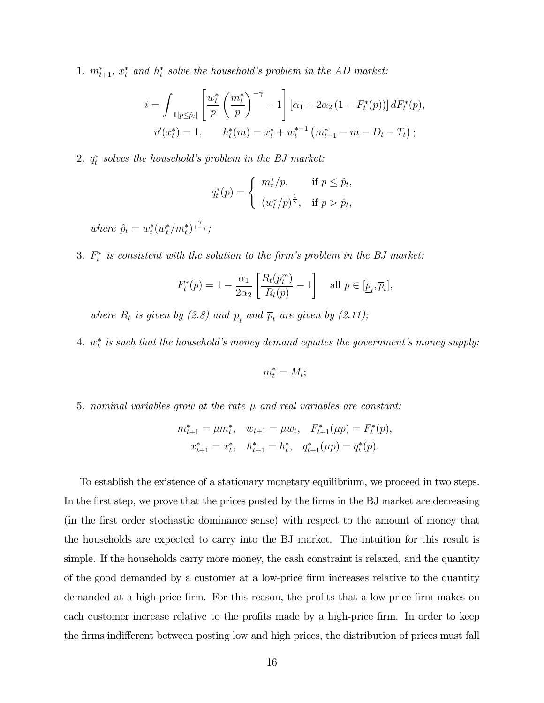1.  $m_{t+1}^*$ ,  $x_t^*$  and  $h_t^*$  solve the household's problem in the AD market:

$$
i = \int_{\mathbf{1}[p \le \hat{p}_t]} \left[ \frac{w_t^*}{p} \left( \frac{m_t^*}{p} \right)^{-\gamma} - 1 \right] \left[ \alpha_1 + 2\alpha_2 \left( 1 - F_t^*(p) \right) \right] dF_t^*(p),
$$
  

$$
v'(x_t^*) = 1, \qquad h_t^*(m) = x_t^* + w_t^{*-1} \left( m_{t+1}^* - m - D_t - T_t \right);
$$

 $2. q_t^*$  solves the household's problem in the BJ market:

$$
q_t^*(p) = \begin{cases} m_t^*/p, & \text{if } p \leq \hat{p}_t, \\ (w_t^*/p)^{\frac{1}{\gamma}}, & \text{if } p > \hat{p}_t, \end{cases}
$$

where  $\hat{p}_t = w_t^*(w_t^*/m_t^*)^{\frac{\gamma}{1-\gamma}}$ ;

3.  $F_t^*$  is consistent with the solution to the firm's problem in the BJ market:

$$
F_t^*(p) = 1 - \frac{\alpha_1}{2\alpha_2} \left[ \frac{R_t(p_t^m)}{R_t(p)} - 1 \right] \quad \text{all } p \in [\underline{p}_t, \overline{p}_t],
$$

where  $R_t$  is given by (2.8) and  $\underline{p}_t$  and  $\overline{p}_t$  are given by (2.11);

 $4. \ \ w_t^* \ \ is \ such \ that \ the \ household's \ money \ demand \ equates \ the \ government's \ money \ supply:$ 

$$
m_t^* = M_t;
$$

5. nominal variables grow at the rate  $\mu$  and real variables are constant:

$$
m_{t+1}^* = \mu m_t^*, \quad w_{t+1} = \mu w_t, \quad F_{t+1}^*(\mu p) = F_t^*(p),
$$
  

$$
x_{t+1}^* = x_t^*, \quad h_{t+1}^* = h_t^*, \quad q_{t+1}^*(\mu p) = q_t^*(p).
$$

To establish the existence of a stationary monetary equilibrium, we proceed in two steps. In the first step, we prove that the prices posted by the firms in the BJ market are decreasing (in the first order stochastic dominance sense) with respect to the amount of money that the households are expected to carry into the BJ market. The intuition for this result is simple. If the households carry more money, the cash constraint is relaxed, and the quantity of the good demanded by a customer at a low-price firm increases relative to the quantity demanded at a high-price firm. For this reason, the profits that a low-price firm makes on each customer increase relative to the profits made by a high-price firm. In order to keep the firms indifferent between posting low and high prices, the distribution of prices must fall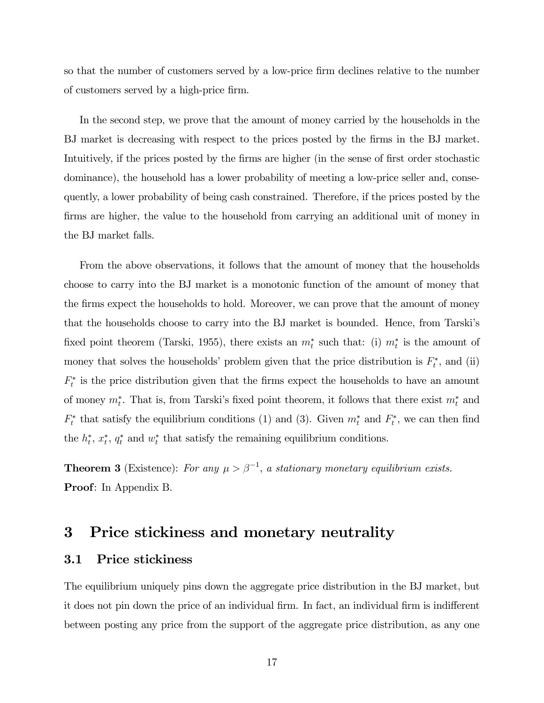so that the number of customers served by a low-price firm declines relative to the number of customers served by a high-price firm.

In the second step, we prove that the amount of money carried by the households in the BJ market is decreasing with respect to the prices posted by the firms in the BJ market. Intuitively, if the prices posted by the firms are higher (in the sense of first order stochastic dominance), the household has a lower probability of meeting a low-price seller and, consequently, a lower probability of being cash constrained. Therefore, if the prices posted by the firms are higher, the value to the household from carrying an additional unit of money in the BJ market falls.

From the above observations, it follows that the amount of money that the households choose to carry into the BJ market is a monotonic function of the amount of money that the firms expect the households to hold. Moreover, we can prove that the amount of money that the households choose to carry into the BJ market is bounded. Hence, from Tarski's fixed point theorem (Tarski, 1955), there exists an  $m_t^*$  such that: (i)  $m_t^*$  is the amount of money that solves the households' problem given that the price distribution is  $F_t^*$ , and (ii)  $F_t^*$  is the price distribution given that the firms expect the households to have an amount of money  $m_t^*$ . That is, from Tarski's fixed point theorem, it follows that there exist  $m_t^*$  and  $F_t^*$  that satisfy the equilibrium conditions (1) and (3). Given  $m_t^*$  and  $F_t^*$ , we can then find the  $h_t^*, x_t^*, q_t^*$  and  $w_t^*$  that satisfy the remaining equilibrium conditions.

**Theorem 3** (Existence): For any  $\mu > \beta^{-1}$ , a stationary monetary equilibrium exists. Proof: In Appendix B.

### 3 Price stickiness and monetary neutrality

#### 3.1 Price stickiness

The equilibrium uniquely pins down the aggregate price distribution in the BJ market, but it does not pin down the price of an individual firm. In fact, an individual firm is indifferent between posting any price from the support of the aggregate price distribution, as any one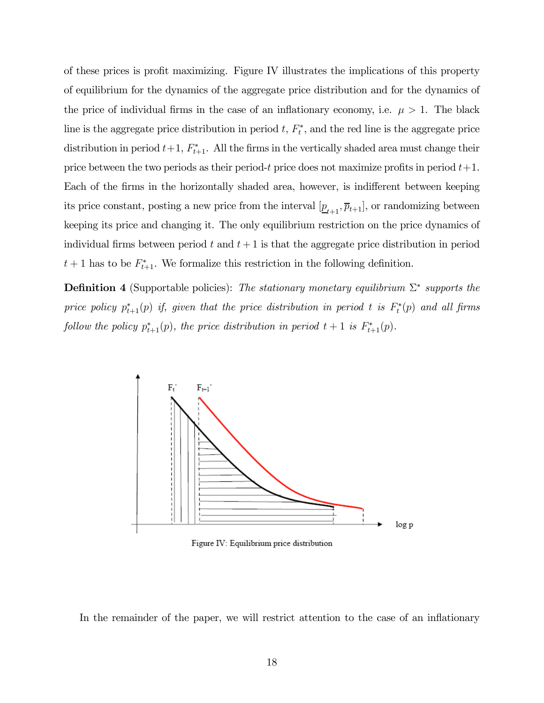of these prices is profit maximizing. Figure IV illustrates the implications of this property of equilibrium for the dynamics of the aggregate price distribution and for the dynamics of the price of individual firms in the case of an inflationary economy, i.e.  $\mu > 1$ . The black line is the aggregate price distribution in period  $t, F_t^*$ , and the red line is the aggregate price distribution in period  $t+1$ ,  $F_{t+1}^*$ . All the firms in the vertically shaded area must change their price between the two periods as their period-t price does not maximize profits in period  $t+1$ . Each of the firms in the horizontally shaded area, however, is indifferent between keeping its price constant, posting a new price from the interval  $[\underline{p}_{t+1}, \overline{p}_{t+1}]$ , or randomizing between keeping its price and changing it. The only equilibrium restriction on the price dynamics of individual firms between period t and  $t + 1$  is that the aggregate price distribution in period  $t+1$  has to be  $F_{t+1}^*$ . We formalize this restriction in the following definition.

**Definition 4** (Supportable policies): The stationary monetary equilibrium  $\Sigma^*$  supports the price policy  $p_{t+1}^*(p)$  if, given that the price distribution in period t is  $F_t^*(p)$  and all firms follow the policy  $p_{t+1}^*(p)$ , the price distribution in period  $t+1$  is  $F_{t+1}^*(p)$ .



Figure IV: Equilibrium price distribution

In the remainder of the paper, we will restrict attention to the case of an inflationary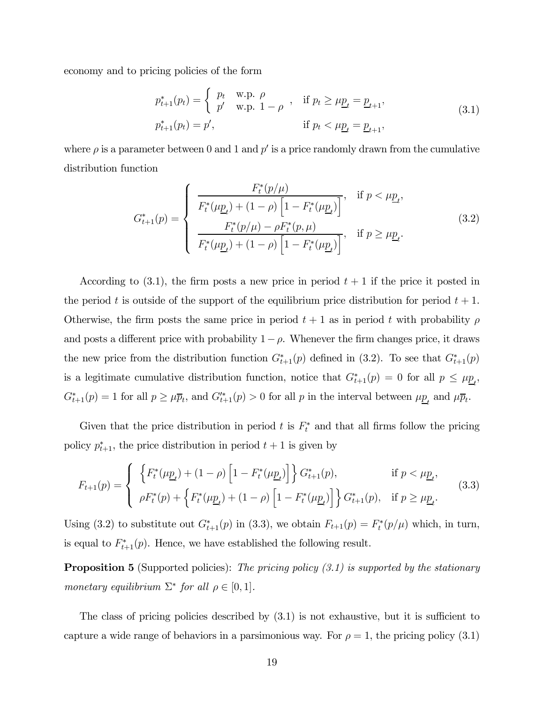economy and to pricing policies of the form

$$
p_{t+1}^{*}(p_t) = \begin{cases} p_t & \text{w.p. } \rho \\ p' & \text{w.p. } 1 - \rho \end{cases}, \quad \text{if } p_t \ge \mu \underline{p}_t = \underline{p}_{t+1},
$$
  

$$
p_{t+1}^{*}(p_t) = p', \qquad \text{if } p_t < \mu \underline{p}_t = \underline{p}_{t+1},
$$
\n
$$
(3.1)
$$

where  $\rho$  is a parameter between 0 and 1 and  $p'$  is a price randomly drawn from the cumulative distribution function

$$
G_{t+1}^{*}(p) = \begin{cases} \frac{F_{t}^{*}(p/\mu)}{F_{t}^{*}(\mu \underline{p}_{t}) + (1 - \rho) \left[1 - F_{t}^{*}(\mu \underline{p}_{t})\right]}, & \text{if } p < \mu \underline{p}_{t}, \\ \frac{F_{t}^{*}(p/\mu) - \rho F_{t}^{*}(p, \mu)}{F_{t}^{*}(\mu \underline{p}_{t}) + (1 - \rho) \left[1 - F_{t}^{*}(\mu \underline{p}_{t})\right]}, & \text{if } p \ge \mu \underline{p}_{t}. \end{cases}
$$
(3.2)

According to  $(3.1)$ , the firm posts a new price in period  $t + 1$  if the price it posted in the period t is outside of the support of the equilibrium price distribution for period  $t + 1$ . Otherwise, the firm posts the same price in period  $t + 1$  as in period t with probability  $\rho$ and posts a different price with probability  $1-\rho$ . Whenever the firm changes price, it draws the new price from the distribution function  $G_{t+1}^*(p)$  defined in (3.2). To see that  $G_{t+1}^*(p)$ is a legitimate cumulative distribution function, notice that  $G_{t+1}^*(p) = 0$  for all  $p \le \mu_{\underline{p}_t}$ ,  $G_{t+1}^*(p) = 1$  for all  $p \ge \mu \overline{p}_t$ , and  $G_{t+1}^{**}(p) > 0$  for all p in the interval between  $\mu \underline{p}_t$  and  $\mu \overline{p}_t$ .

Given that the price distribution in period t is  $F_t^*$  and that all firms follow the pricing policy  $p_{t+1}^*$ , the price distribution in period  $t+1$  is given by

$$
F_{t+1}(p) = \begin{cases} \left\{ F_t^*(\mu \underline{p}_t) + (1 - \rho) \left[ 1 - F_t^*(\mu \underline{p}_t) \right] \right\} G_{t+1}^*(p), & \text{if } p < \mu \underline{p}_t, \\ \rho F_t^*(p) + \left\{ F_t^*(\mu \underline{p}_t) + (1 - \rho) \left[ 1 - F_t^*(\mu \underline{p}_t) \right] \right\} G_{t+1}^*(p), & \text{if } p \ge \mu \underline{p}_t. \end{cases}
$$
(3.3)

Using (3.2) to substitute out  $G_{t+1}^*(p)$  in (3.3), we obtain  $F_{t+1}(p) = F_t^*(p/\mu)$  which, in turn, is equal to  $F_{t+1}^*(p)$ . Hence, we have established the following result.

**Proposition 5** (Supported policies): The pricing policy  $(3.1)$  is supported by the stationary monetary equilibrium  $\Sigma^*$  for all  $\rho \in [0,1]$ .

The class of pricing policies described by (3.1) is not exhaustive, but it is sufficient to capture a wide range of behaviors in a parsimonious way. For  $\rho = 1$ , the pricing policy (3.1)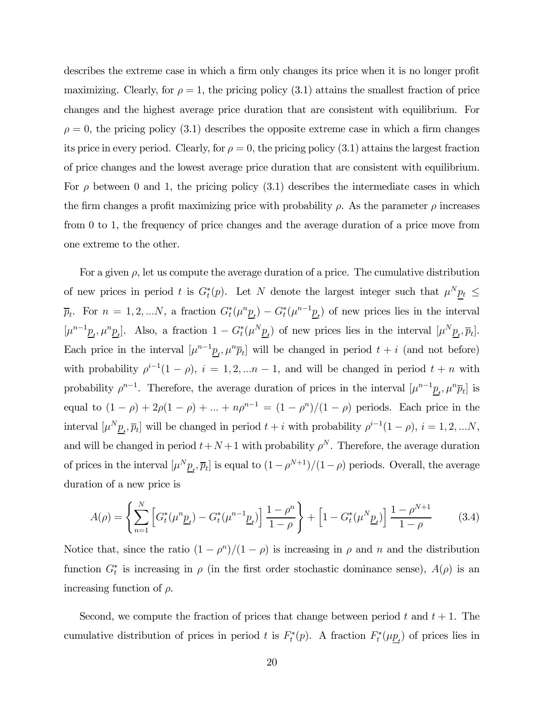describes the extreme case in which a firm only changes its price when it is no longer profit maximizing. Clearly, for  $\rho = 1$ , the pricing policy (3.1) attains the smallest fraction of price changes and the highest average price duration that are consistent with equilibrium. For  $\rho = 0$ , the pricing policy (3.1) describes the opposite extreme case in which a firm changes its price in every period. Clearly, for  $\rho = 0$ , the pricing policy (3.1) attains the largest fraction of price changes and the lowest average price duration that are consistent with equilibrium. For  $\rho$  between 0 and 1, the pricing policy (3.1) describes the intermediate cases in which the firm changes a profit maximizing price with probability  $\rho$ . As the parameter  $\rho$  increases from 0 to 1, the frequency of price changes and the average duration of a price move from one extreme to the other.

For a given  $\rho$ , let us compute the average duration of a price. The cumulative distribution of new prices in period t is  $G_t^*(p)$ . Let N denote the largest integer such that  $\mu^N \underline{p}_t \leq$  $\overline{p}_t$ . For  $n = 1, 2, ...N$ , a fraction  $G_t^*(\mu^n \underline{p}_t) - G_t^*(\mu^{n-1} \underline{p}_t)$  of new prices lies in the interval  $[\mu^{n-1}\underline{p}_t, \mu^n \underline{p}_t].$  Also, a fraction  $1 - G_t^*(\mu^N \underline{p}_t)$  of new prices lies in the interval  $[\mu^N \underline{p}_t, \overline{p}_t].$ Each price in the interval  $[\mu^{n-1}\underline{p}_t, \mu^n\overline{p}_t]$  will be changed in period  $t + i$  (and not before) with probability  $\rho^{i-1}(1-\rho)$ ,  $i=1,2,...n-1$ , and will be changed in period  $t+n$  with probability  $\rho^{n-1}$ . Therefore, the average duration of prices in the interval  $[\mu^{n-1}\underline{p}_t, \mu^n\overline{p}_t]$  is equal to  $(1 - \rho) + 2\rho(1 - \rho) + ... + n\rho^{n-1} = (1 - \rho^n)/(1 - \rho)$  periods. Each price in the interval  $[\mu^N \underline{p}_t, \overline{p}_t]$  will be changed in period  $t + i$  with probability  $\rho^{i-1}(1 - \rho), i = 1, 2, ...N$ , and will be changed in period  $t+N+1$  with probability  $\rho^N$ . Therefore, the average duration of prices in the interval  $[\mu^N \underline{p}_t, \overline{p}_t]$  is equal to  $(1 - \rho^{N+1})/(1 - \rho)$  periods. Overall, the average duration of a new price is

$$
A(\rho) = \left\{ \sum_{n=1}^{N} \left[ G_t^*(\mu^n \underline{p}_t) - G_t^*(\mu^{n-1} \underline{p}_t) \right] \frac{1-\rho^n}{1-\rho} \right\} + \left[ 1 - G_t^*(\mu^N \underline{p}_t) \right] \frac{1-\rho^{N+1}}{1-\rho} \tag{3.4}
$$

Notice that, since the ratio  $(1 - \rho^n)/(1 - \rho)$  is increasing in  $\rho$  and n and the distribution function  $G_t^*$  is increasing in  $\rho$  (in the first order stochastic dominance sense),  $A(\rho)$  is an increasing function of  $\rho$ .

Second, we compute the fraction of prices that change between period t and  $t + 1$ . The cumulative distribution of prices in period t is  $F_t^*(p)$ . A fraction  $F_t^*(\mu \underline{p}_t)$  of prices lies in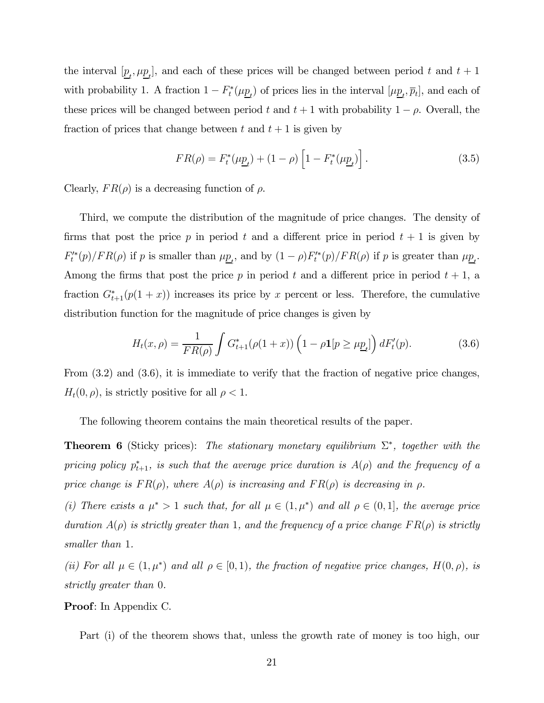the interval  $[\underline{p}_t, \mu \underline{p}_t]$ , and each of these prices will be changed between period t and  $t + 1$ with probability 1. A fraction  $1 - F_t^*(\mu \underline{p}_t)$  of prices lies in the interval  $[\mu \underline{p}_t, \overline{p}_t]$ , and each of these prices will be changed between period t and  $t + 1$  with probability  $1 - \rho$ . Overall, the fraction of prices that change between t and  $t + 1$  is given by

$$
FR(\rho) = F_t^*(\mu \underline{p}_t) + (1 - \rho) \left[ 1 - F_t^*(\mu \underline{p}_t) \right]. \tag{3.5}
$$

Clearly,  $FR(\rho)$  is a decreasing function of  $\rho$ .

Third, we compute the distribution of the magnitude of price changes. The density of firms that post the price p in period t and a different price in period  $t + 1$  is given by  $F_t^{\prime*}(p)/FR(\rho)$  if p is smaller than  $\mu_{\underline{p}_t}$ , and by  $(1-\rho)F_t^{\prime*}(p)/FR(\rho)$  if p is greater than  $\mu_{\underline{p}_t}$ . Among the firms that post the price p in period t and a different price in period  $t + 1$ , a fraction  $G_{t+1}^*(p(1+x))$  increases its price by x percent or less. Therefore, the cumulative distribution function for the magnitude of price changes is given by

$$
H_t(x,\rho) = \frac{1}{FR(\rho)} \int G_{t+1}^*(\rho(1+x)) \left(1 - \rho \mathbf{1}[p \ge \mu \underline{p}_t]\right) dF_t'(p). \tag{3.6}
$$

From (3.2) and (3.6), it is immediate to verify that the fraction of negative price changes,  $H_t(0, \rho)$ , is strictly positive for all  $\rho < 1$ .

The following theorem contains the main theoretical results of the paper.

**Theorem 6** (Sticky prices): The stationary monetary equilibrium  $\Sigma^*$ , together with the pricing policy  $p_{t+1}^*$ , is such that the average price duration is  $A(\rho)$  and the frequency of a price change is  $FR(\rho)$ , where  $A(\rho)$  is increasing and  $FR(\rho)$  is decreasing in  $\rho$ .

(i) There exists a  $\mu^* > 1$  such that, for all  $\mu \in (1, \mu^*)$  and all  $\rho \in (0, 1]$ , the average price duration  $A(\rho)$  is strictly greater than 1, and the frequency of a price change  $FR(\rho)$  is strictly smaller than 1.

(ii) For all  $\mu \in (1, \mu^*)$  and all  $\rho \in [0, 1)$ , the fraction of negative price changes,  $H(0, \rho)$ , is strictly greater than 0.

#### Proof: In Appendix C.

Part (i) of the theorem shows that, unless the growth rate of money is too high, our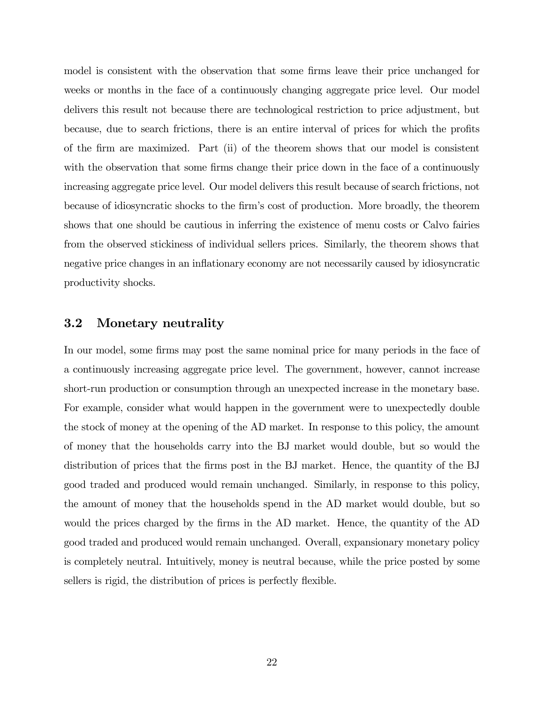model is consistent with the observation that some firms leave their price unchanged for weeks or months in the face of a continuously changing aggregate price level. Our model delivers this result not because there are technological restriction to price adjustment, but because, due to search frictions, there is an entire interval of prices for which the profits of the firm are maximized. Part (ii) of the theorem shows that our model is consistent with the observation that some firms change their price down in the face of a continuously increasing aggregate price level. Our model delivers this result because of search frictions, not because of idiosyncratic shocks to the firm's cost of production. More broadly, the theorem shows that one should be cautious in inferring the existence of menu costs or Calvo fairies from the observed stickiness of individual sellers prices. Similarly, the theorem shows that negative price changes in an inflationary economy are not necessarily caused by idiosyncratic productivity shocks.

#### 3.2 Monetary neutrality

In our model, some firms may post the same nominal price for many periods in the face of a continuously increasing aggregate price level. The government, however, cannot increase short-run production or consumption through an unexpected increase in the monetary base. For example, consider what would happen in the government were to unexpectedly double the stock of money at the opening of the AD market. In response to this policy, the amount of money that the households carry into the BJ market would double, but so would the distribution of prices that the firms post in the BJ market. Hence, the quantity of the BJ good traded and produced would remain unchanged. Similarly, in response to this policy, the amount of money that the households spend in the AD market would double, but so would the prices charged by the firms in the AD market. Hence, the quantity of the AD good traded and produced would remain unchanged. Overall, expansionary monetary policy is completely neutral. Intuitively, money is neutral because, while the price posted by some sellers is rigid, the distribution of prices is perfectly flexible.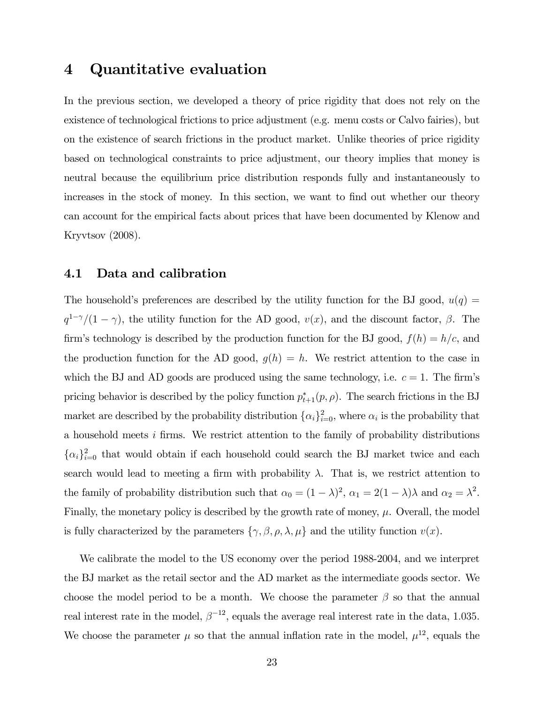### 4 Quantitative evaluation

In the previous section, we developed a theory of price rigidity that does not rely on the existence of technological frictions to price adjustment (e.g. menu costs or Calvo fairies), but on the existence of search frictions in the product market. Unlike theories of price rigidity based on technological constraints to price adjustment, our theory implies that money is neutral because the equilibrium price distribution responds fully and instantaneously to increases in the stock of money. In this section, we want to find out whether our theory can account for the empirical facts about prices that have been documented by Klenow and Kryvtsov (2008).

#### 4.1 Data and calibration

The household's preferences are described by the utility function for the BJ good,  $u(q)$  =  $q^{1-\gamma}/(1-\gamma)$ , the utility function for the AD good,  $v(x)$ , and the discount factor,  $\beta$ . The firm's technology is described by the production function for the BJ good,  $f(h) = h/c$ , and the production function for the AD good,  $g(h) = h$ . We restrict attention to the case in which the BJ and AD goods are produced using the same technology, i.e.  $c = 1$ . The firm's pricing behavior is described by the policy function  $p_{t+1}^*(p, \rho)$ . The search frictions in the BJ market are described by the probability distribution  $\{\alpha_i\}_{i=0}^2$ , where  $\alpha_i$  is the probability that a household meets i firms. We restrict attention to the family of probability distributions  $\{\alpha_i\}_{i=0}^2$  that would obtain if each household could search the BJ market twice and each search would lead to meeting a firm with probability  $\lambda$ . That is, we restrict attention to the family of probability distribution such that  $\alpha_0 = (1 - \lambda)^2$ ,  $\alpha_1 = 2(1 - \lambda)\lambda$  and  $\alpha_2 = \lambda^2$ . Finally, the monetary policy is described by the growth rate of money,  $\mu$ . Overall, the model is fully characterized by the parameters  $\{\gamma, \beta, \rho, \lambda, \mu\}$  and the utility function  $v(x)$ .

We calibrate the model to the US economy over the period 1988-2004, and we interpret the BJ market as the retail sector and the AD market as the intermediate goods sector. We choose the model period to be a month. We choose the parameter  $\beta$  so that the annual real interest rate in the model,  $\beta^{-12}$ , equals the average real interest rate in the data, 1.035. We choose the parameter  $\mu$  so that the annual inflation rate in the model,  $\mu^{12}$ , equals the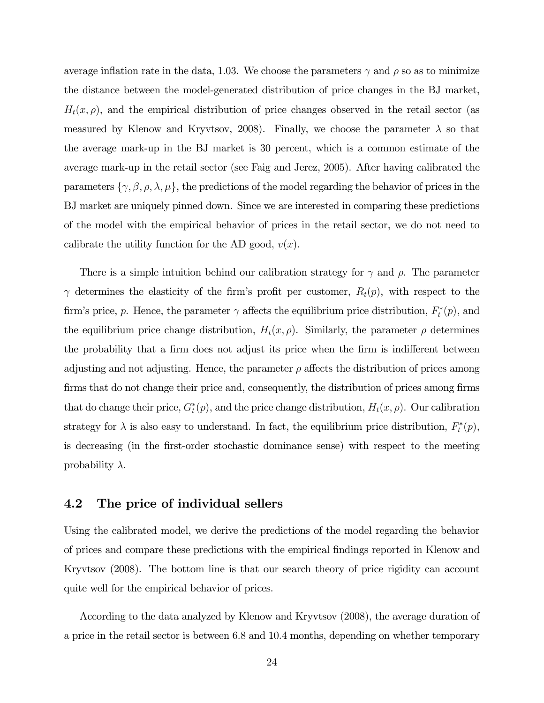average inflation rate in the data, 1.03. We choose the parameters  $\gamma$  and  $\rho$  so as to minimize the distance between the model-generated distribution of price changes in the BJ market,  $H_t(x, \rho)$ , and the empirical distribution of price changes observed in the retail sector (as measured by Klenow and Kryvtsov, 2008). Finally, we choose the parameter  $\lambda$  so that the average mark-up in the BJ market is 30 percent, which is a common estimate of the average mark-up in the retail sector (see Faig and Jerez, 2005). After having calibrated the parameters  $\{\gamma, \beta, \rho, \lambda, \mu\}$ , the predictions of the model regarding the behavior of prices in the BJ market are uniquely pinned down. Since we are interested in comparing these predictions of the model with the empirical behavior of prices in the retail sector, we do not need to calibrate the utility function for the AD good,  $v(x)$ .

There is a simple intuition behind our calibration strategy for  $\gamma$  and  $\rho$ . The parameter  $\gamma$  determines the elasticity of the firm's profit per customer,  $R_t(p)$ , with respect to the firm's price, p. Hence, the parameter  $\gamma$  affects the equilibrium price distribution,  $F_t^*(p)$ , and the equilibrium price change distribution,  $H_t(x, \rho)$ . Similarly, the parameter  $\rho$  determines the probability that a firm does not adjust its price when the firm is indifferent between adjusting and not adjusting. Hence, the parameter  $\rho$  affects the distribution of prices among firms that do not change their price and, consequently, the distribution of prices among firms that do change their price,  $G_t^*(p)$ , and the price change distribution,  $H_t(x, \rho)$ . Our calibration strategy for  $\lambda$  is also easy to understand. In fact, the equilibrium price distribution,  $F_t^*(p)$ , is decreasing (in the first-order stochastic dominance sense) with respect to the meeting probability  $\lambda$ .

#### 4.2 The price of individual sellers

Using the calibrated model, we derive the predictions of the model regarding the behavior of prices and compare these predictions with the empirical findings reported in Klenow and Kryvtsov (2008). The bottom line is that our search theory of price rigidity can account quite well for the empirical behavior of prices.

According to the data analyzed by Klenow and Kryvtsov (2008), the average duration of a price in the retail sector is between 6.8 and 10.4 months, depending on whether temporary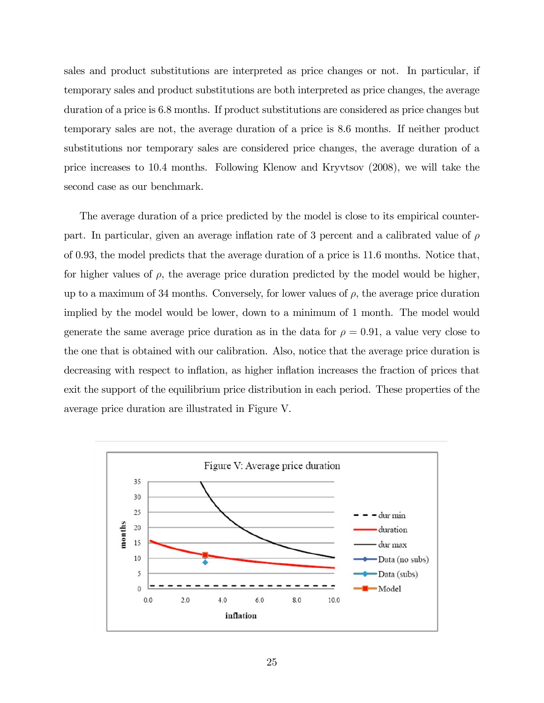sales and product substitutions are interpreted as price changes or not. In particular, if temporary sales and product substitutions are both interpreted as price changes, the average duration of a price is 6.8 months. If product substitutions are considered as price changes but temporary sales are not, the average duration of a price is 8.6 months. If neither product substitutions nor temporary sales are considered price changes, the average duration of a price increases to 10.4 months. Following Klenow and Kryvtsov (2008), we will take the second case as our benchmark.

The average duration of a price predicted by the model is close to its empirical counterpart. In particular, given an average inflation rate of 3 percent and a calibrated value of  $\rho$ of 0.93, the model predicts that the average duration of a price is 11.6 months. Notice that, for higher values of  $\rho$ , the average price duration predicted by the model would be higher, up to a maximum of 34 months. Conversely, for lower values of  $\rho$ , the average price duration implied by the model would be lower, down to a minimum of 1 month. The model would generate the same average price duration as in the data for  $\rho = 0.91$ , a value very close to the one that is obtained with our calibration. Also, notice that the average price duration is decreasing with respect to inflation, as higher inflation increases the fraction of prices that exit the support of the equilibrium price distribution in each period. These properties of the average price duration are illustrated in Figure V.

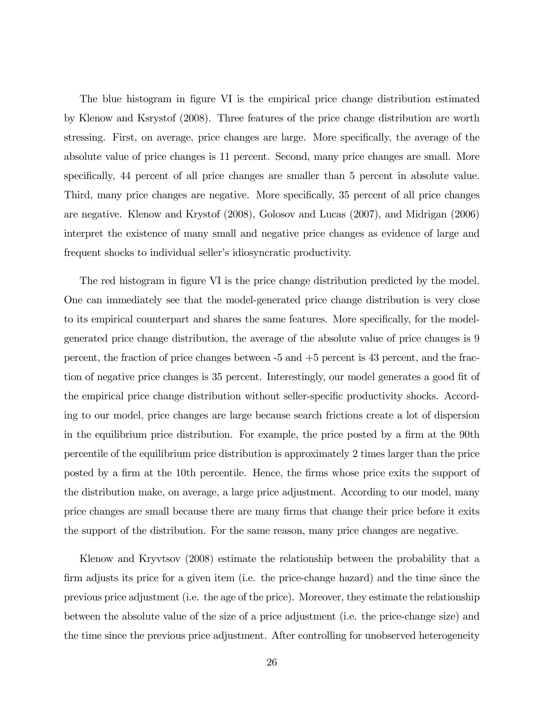The blue histogram in figure VI is the empirical price change distribution estimated by Klenow and Ksrystof (2008). Three features of the price change distribution are worth stressing. First, on average, price changes are large. More specifically, the average of the absolute value of price changes is 11 percent. Second, many price changes are small. More specifically, 44 percent of all price changes are smaller than 5 percent in absolute value. Third, many price changes are negative. More specifically, 35 percent of all price changes are negative. Klenow and Krystof (2008), Golosov and Lucas (2007), and Midrigan (2006) interpret the existence of many small and negative price changes as evidence of large and frequent shocks to individual seller's idiosyncratic productivity.

The red histogram in figure VI is the price change distribution predicted by the model. One can immediately see that the model-generated price change distribution is very close to its empirical counterpart and shares the same features. More specifically, for the modelgenerated price change distribution, the average of the absolute value of price changes is 9 percent, the fraction of price changes between -5 and +5 percent is 43 percent, and the fraction of negative price changes is 35 percent. Interestingly, our model generates a good fit of the empirical price change distribution without seller-specific productivity shocks. According to our model, price changes are large because search frictions create a lot of dispersion in the equilibrium price distribution. For example, the price posted by a firm at the 90th percentile of the equilibrium price distribution is approximately 2 times larger than the price posted by a firm at the 10th percentile. Hence, the firms whose price exits the support of the distribution make, on average, a large price adjustment. According to our model, many price changes are small because there are many firms that change their price before it exits the support of the distribution. For the same reason, many price changes are negative.

Klenow and Kryvtsov (2008) estimate the relationship between the probability that a firm adjusts its price for a given item (i.e. the price-change hazard) and the time since the previous price adjustment (i.e. the age of the price). Moreover, they estimate the relationship between the absolute value of the size of a price adjustment (i.e. the price-change size) and the time since the previous price adjustment. After controlling for unobserved heterogeneity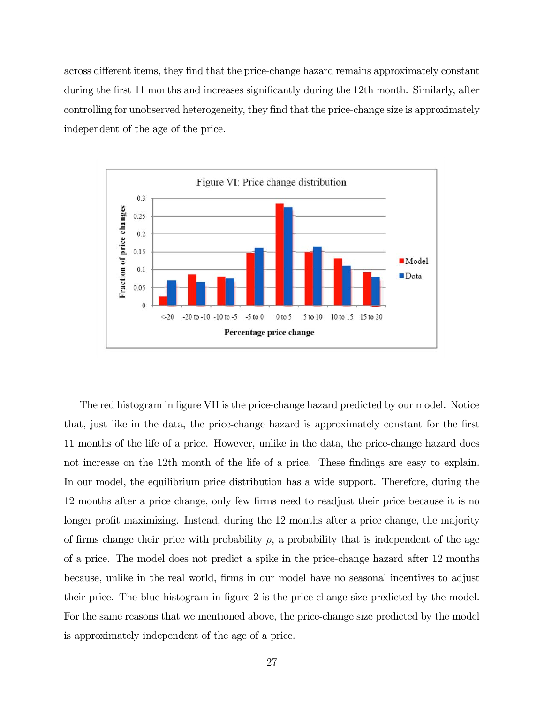across different items, they find that the price-change hazard remains approximately constant during the first 11 months and increases significantly during the 12th month. Similarly, after controlling for unobserved heterogeneity, they find that the price-change size is approximately independent of the age of the price.



The red histogram in figure VII is the price-change hazard predicted by our model. Notice that, just like in the data, the price-change hazard is approximately constant for the first 11 months of the life of a price. However, unlike in the data, the price-change hazard does not increase on the 12th month of the life of a price. These findings are easy to explain. In our model, the equilibrium price distribution has a wide support. Therefore, during the 12 months after a price change, only few firms need to readjust their price because it is no longer profit maximizing. Instead, during the 12 months after a price change, the majority of firms change their price with probability  $\rho$ , a probability that is independent of the age of a price. The model does not predict a spike in the price-change hazard after 12 months because, unlike in the real world, firms in our model have no seasonal incentives to adjust their price. The blue histogram in figure 2 is the price-change size predicted by the model. For the same reasons that we mentioned above, the price-change size predicted by the model is approximately independent of the age of a price.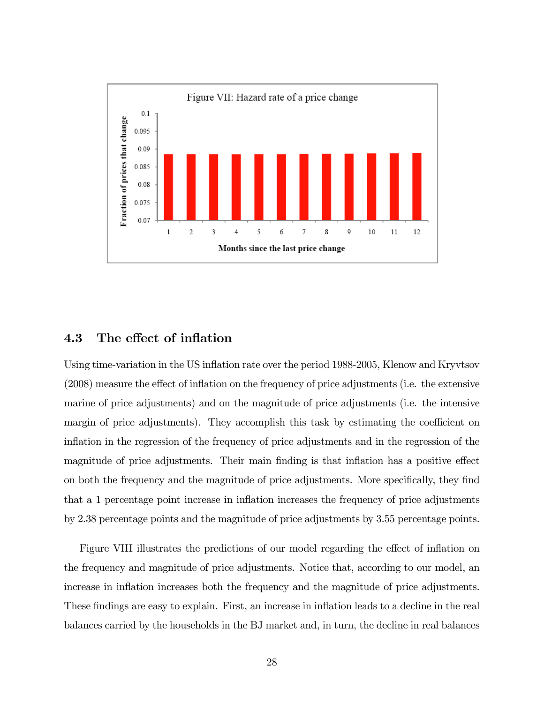

### 4.3 The effect of inflation

Using time-variation in the US inflation rate over the period 1988-2005, Klenow and Kryvtsov (2008) measure the effect of inflation on the frequency of price adjustments (i.e. the extensive marine of price adjustments) and on the magnitude of price adjustments (i.e. the intensive margin of price adjustments). They accomplish this task by estimating the coefficient on inflation in the regression of the frequency of price adjustments and in the regression of the magnitude of price adjustments. Their main finding is that inflation has a positive effect on both the frequency and the magnitude of price adjustments. More specifically, they find that a 1 percentage point increase in inflation increases the frequency of price adjustments by 2.38 percentage points and the magnitude of price adjustments by 3.55 percentage points.

Figure VIII illustrates the predictions of our model regarding the effect of inflation on the frequency and magnitude of price adjustments. Notice that, according to our model, an increase in inflation increases both the frequency and the magnitude of price adjustments. These findings are easy to explain. First, an increase in inflation leads to a decline in the real balances carried by the households in the BJ market and, in turn, the decline in real balances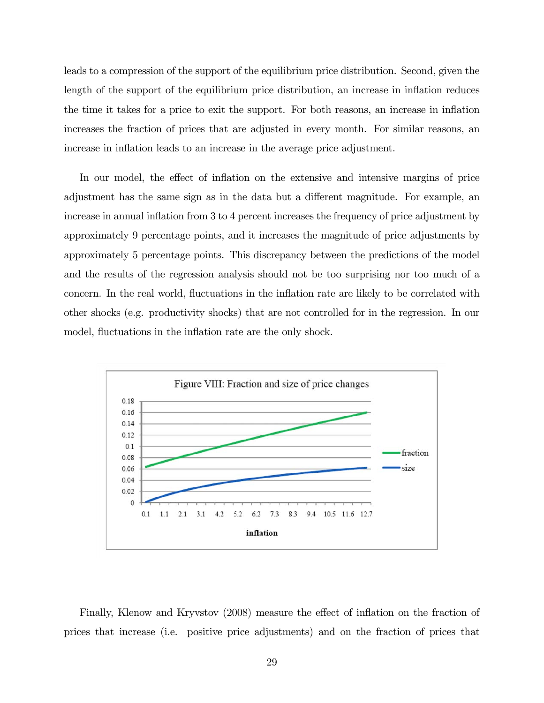leads to a compression of the support of the equilibrium price distribution. Second, given the length of the support of the equilibrium price distribution, an increase in inflation reduces the time it takes for a price to exit the support. For both reasons, an increase in inflation increases the fraction of prices that are adjusted in every month. For similar reasons, an increase in inflation leads to an increase in the average price adjustment.

In our model, the effect of inflation on the extensive and intensive margins of price adjustment has the same sign as in the data but a different magnitude. For example, an increase in annual inflation from 3 to 4 percent increases the frequency of price adjustment by approximately 9 percentage points, and it increases the magnitude of price adjustments by approximately 5 percentage points. This discrepancy between the predictions of the model and the results of the regression analysis should not be too surprising nor too much of a concern. In the real world, fluctuations in the inflation rate are likely to be correlated with other shocks (e.g. productivity shocks) that are not controlled for in the regression. In our model, fluctuations in the inflation rate are the only shock.



Finally, Klenow and Kryvstov (2008) measure the effect of inflation on the fraction of prices that increase (i.e. positive price adjustments) and on the fraction of prices that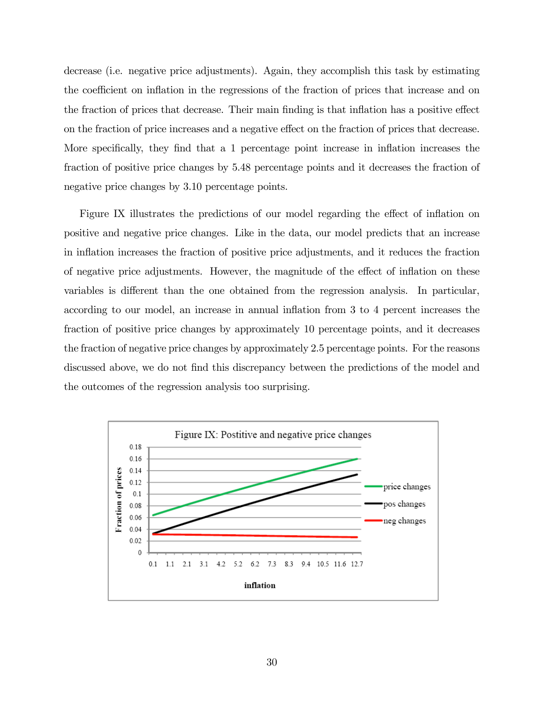decrease (i.e. negative price adjustments). Again, they accomplish this task by estimating the coefficient on inflation in the regressions of the fraction of prices that increase and on the fraction of prices that decrease. Their main finding is that inflation has a positive effect on the fraction of price increases and a negative effect on the fraction of prices that decrease. More specifically, they find that a 1 percentage point increase in inflation increases the fraction of positive price changes by 5.48 percentage points and it decreases the fraction of negative price changes by 3.10 percentage points.

Figure IX illustrates the predictions of our model regarding the effect of inflation on positive and negative price changes. Like in the data, our model predicts that an increase in inflation increases the fraction of positive price adjustments, and it reduces the fraction of negative price adjustments. However, the magnitude of the effect of inflation on these variables is different than the one obtained from the regression analysis. In particular, according to our model, an increase in annual inflation from 3 to 4 percent increases the fraction of positive price changes by approximately 10 percentage points, and it decreases the fraction of negative price changes by approximately 2.5 percentage points. For the reasons discussed above, we do not find this discrepancy between the predictions of the model and the outcomes of the regression analysis too surprising.

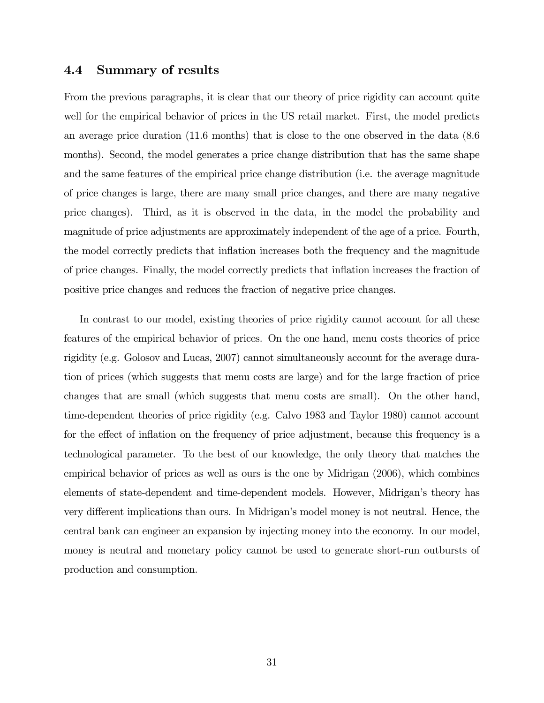#### 4.4 Summary of results

From the previous paragraphs, it is clear that our theory of price rigidity can account quite well for the empirical behavior of prices in the US retail market. First, the model predicts an average price duration (11.6 months) that is close to the one observed in the data (8.6 months). Second, the model generates a price change distribution that has the same shape and the same features of the empirical price change distribution (i.e. the average magnitude of price changes is large, there are many small price changes, and there are many negative price changes). Third, as it is observed in the data, in the model the probability and magnitude of price adjustments are approximately independent of the age of a price. Fourth, the model correctly predicts that inflation increases both the frequency and the magnitude of price changes. Finally, the model correctly predicts that inflation increases the fraction of positive price changes and reduces the fraction of negative price changes.

In contrast to our model, existing theories of price rigidity cannot account for all these features of the empirical behavior of prices. On the one hand, menu costs theories of price rigidity (e.g. Golosov and Lucas, 2007) cannot simultaneously account for the average duration of prices (which suggests that menu costs are large) and for the large fraction of price changes that are small (which suggests that menu costs are small). On the other hand, time-dependent theories of price rigidity (e.g. Calvo 1983 and Taylor 1980) cannot account for the effect of inflation on the frequency of price adjustment, because this frequency is a technological parameter. To the best of our knowledge, the only theory that matches the empirical behavior of prices as well as ours is the one by Midrigan (2006), which combines elements of state-dependent and time-dependent models. However, Midrigan's theory has very different implications than ours. In Midrigan's model money is not neutral. Hence, the central bank can engineer an expansion by injecting money into the economy. In our model, money is neutral and monetary policy cannot be used to generate short-run outbursts of production and consumption.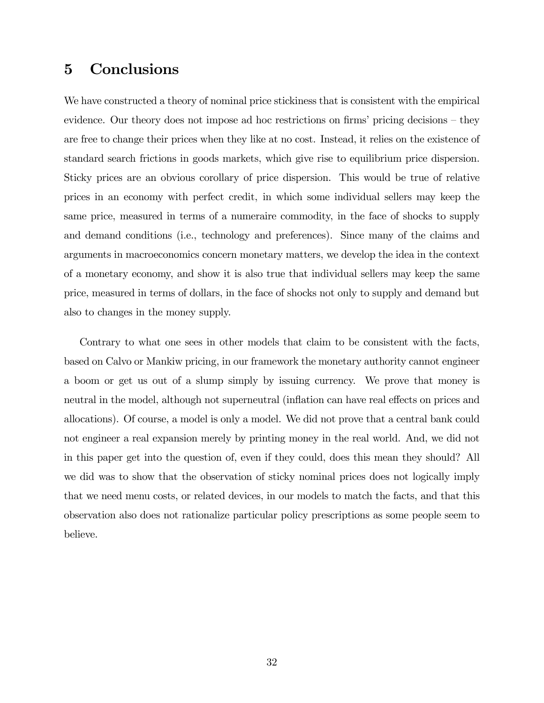### 5 Conclusions

We have constructed a theory of nominal price stickiness that is consistent with the empirical evidence. Our theory does not impose ad hoc restrictions on firms' pricing decisions — they are free to change their prices when they like at no cost. Instead, it relies on the existence of standard search frictions in goods markets, which give rise to equilibrium price dispersion. Sticky prices are an obvious corollary of price dispersion. This would be true of relative prices in an economy with perfect credit, in which some individual sellers may keep the same price, measured in terms of a numeraire commodity, in the face of shocks to supply and demand conditions (i.e., technology and preferences). Since many of the claims and arguments in macroeconomics concern monetary matters, we develop the idea in the context of a monetary economy, and show it is also true that individual sellers may keep the same price, measured in terms of dollars, in the face of shocks not only to supply and demand but also to changes in the money supply.

Contrary to what one sees in other models that claim to be consistent with the facts, based on Calvo or Mankiw pricing, in our framework the monetary authority cannot engineer a boom or get us out of a slump simply by issuing currency. We prove that money is neutral in the model, although not superneutral (inflation can have real effects on prices and allocations). Of course, a model is only a model. We did not prove that a central bank could not engineer a real expansion merely by printing money in the real world. And, we did not in this paper get into the question of, even if they could, does this mean they should? All we did was to show that the observation of sticky nominal prices does not logically imply that we need menu costs, or related devices, in our models to match the facts, and that this observation also does not rationalize particular policy prescriptions as some people seem to believe.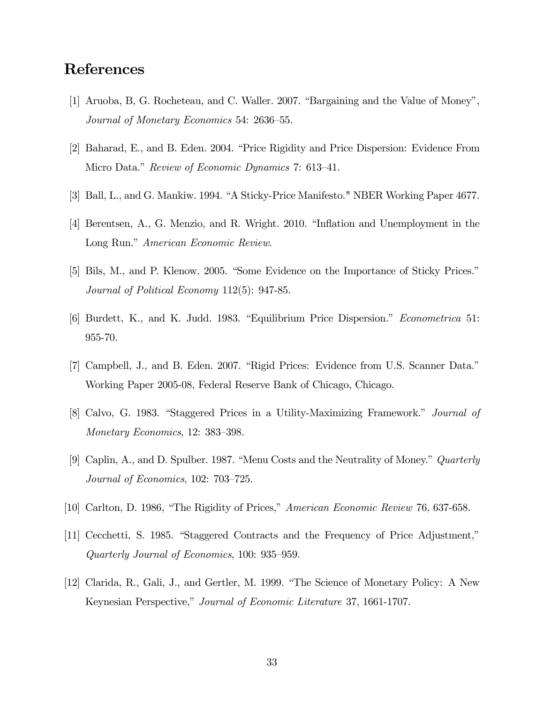### References

- [1] Aruoba, B, G. Rocheteau, and C. Waller. 2007. "Bargaining and the Value of Money", Journal of Monetary Economics 54: 2636—55.
- [2] Baharad, E., and B. Eden. 2004. "Price Rigidity and Price Dispersion: Evidence From Micro Data." *Review of Economic Dynamics* 7: 613–41.
- [3] Ball, L., and G. Mankiw. 1994. "A Sticky-Price Manifesto." NBER Working Paper 4677.
- [4] Berentsen, A., G. Menzio, and R. Wright. 2010. "Inflation and Unemployment in the Long Run." American Economic Review.
- [5] Bils, M., and P. Klenow. 2005. "Some Evidence on the Importance of Sticky Prices." Journal of Political Economy 112(5): 947-85.
- [6] Burdett, K., and K. Judd. 1983. "Equilibrium Price Dispersion." Econometrica 51: 955-70.
- [7] Campbell, J., and B. Eden. 2007. "Rigid Prices: Evidence from U.S. Scanner Data." Working Paper 2005-08, Federal Reserve Bank of Chicago, Chicago.
- [8] Calvo, G. 1983. "Staggered Prices in a Utility-Maximizing Framework." Journal of Monetary Economics, 12: 383—398.
- [9] Caplin, A., and D. Spulber. 1987. "Menu Costs and the Neutrality of Money." Quarterly Journal of Economics, 102: 703—725.
- [10] Carlton, D. 1986, "The Rigidity of Prices," American Economic Review 76, 637-658.
- [11] Cecchetti, S. 1985. "Staggered Contracts and the Frequency of Price Adjustment," Quarterly Journal of Economics, 100: 935—959.
- [12] Clarida, R., Gali, J., and Gertler, M. 1999. "The Science of Monetary Policy: A New Keynesian Perspective," Journal of Economic Literature 37, 1661-1707.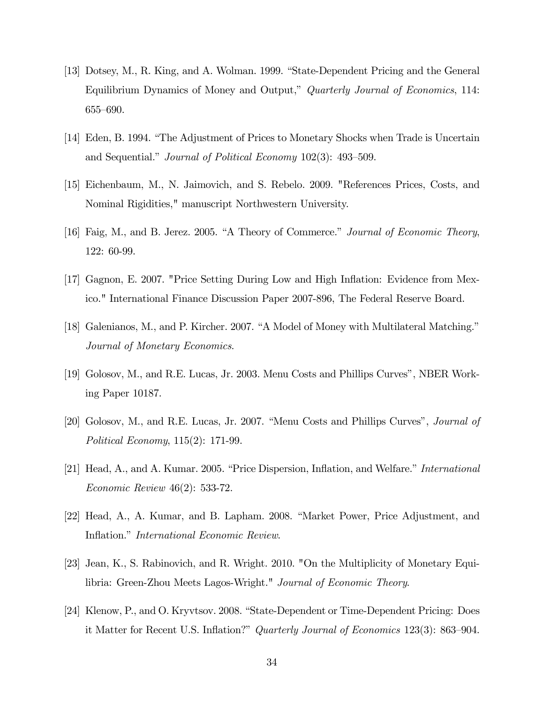- [13] Dotsey, M., R. King, and A. Wolman. 1999. "State-Dependent Pricing and the General Equilibrium Dynamics of Money and Output," Quarterly Journal of Economics, 114: 655—690.
- [14] Eden, B. 1994. "The Adjustment of Prices to Monetary Shocks when Trade is Uncertain and Sequential." Journal of Political Economy 102(3): 493—509.
- [15] Eichenbaum, M., N. Jaimovich, and S. Rebelo. 2009. "References Prices, Costs, and Nominal Rigidities," manuscript Northwestern University.
- [16] Faig, M., and B. Jerez. 2005. "A Theory of Commerce." Journal of Economic Theory, 122: 60-99.
- [17] Gagnon, E. 2007. "Price Setting During Low and High Inflation: Evidence from Mexico." International Finance Discussion Paper 2007-896, The Federal Reserve Board.
- [18] Galenianos, M., and P. Kircher. 2007. "A Model of Money with Multilateral Matching." Journal of Monetary Economics.
- [19] Golosov, M., and R.E. Lucas, Jr. 2003. Menu Costs and Phillips Curves", NBER Working Paper 10187.
- [20] Golosov, M., and R.E. Lucas, Jr. 2007. "Menu Costs and Phillips Curves", Journal of Political Economy, 115(2): 171-99.
- [21] Head, A., and A. Kumar. 2005. "Price Dispersion, Inflation, and Welfare." International Economic Review 46(2): 533-72.
- [22] Head, A., A. Kumar, and B. Lapham. 2008. "Market Power, Price Adjustment, and Inflation." International Economic Review.
- [23] Jean, K., S. Rabinovich, and R. Wright. 2010. "On the Multiplicity of Monetary Equilibria: Green-Zhou Meets Lagos-Wright." Journal of Economic Theory.
- [24] Klenow, P., and O. Kryvtsov. 2008. "State-Dependent or Time-Dependent Pricing: Does it Matter for Recent U.S. Inflation?" Quarterly Journal of Economics 123(3): 863—904.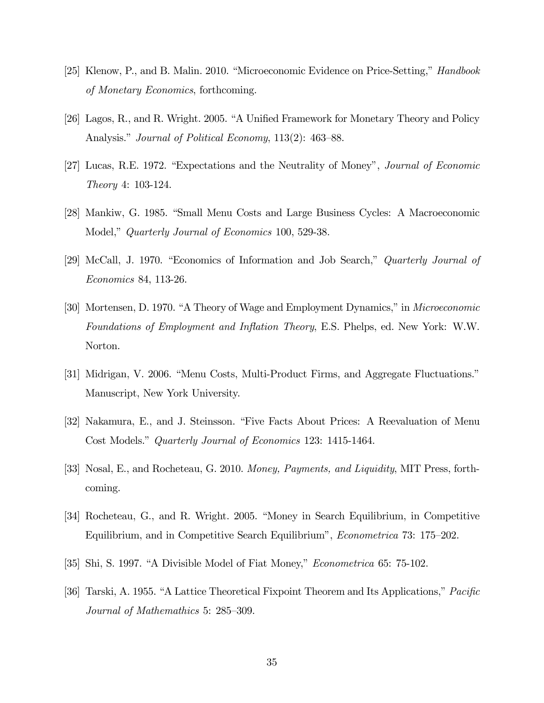- [25] Klenow, P., and B. Malin. 2010. "Microeconomic Evidence on Price-Setting," Handbook of Monetary Economics, forthcoming.
- [26] Lagos, R., and R. Wright. 2005. "A Unified Framework for Monetary Theory and Policy Analysis." *Journal of Political Economy*, 113(2): 463–88.
- [27] Lucas, R.E. 1972. "Expectations and the Neutrality of Money", Journal of Economic Theory 4: 103-124.
- [28] Mankiw, G. 1985. "Small Menu Costs and Large Business Cycles: A Macroeconomic Model," *Quarterly Journal of Economics* 100, 529-38.
- [29] McCall, J. 1970. "Economics of Information and Job Search," Quarterly Journal of Economics 84, 113-26.
- [30] Mortensen, D. 1970. "A Theory of Wage and Employment Dynamics," in Microeconomic Foundations of Employment and Inflation Theory, E.S. Phelps, ed. New York: W.W. Norton.
- [31] Midrigan, V. 2006. "Menu Costs, Multi-Product Firms, and Aggregate Fluctuations." Manuscript, New York University.
- [32] Nakamura, E., and J. Steinsson. "Five Facts About Prices: A Reevaluation of Menu Cost Models." Quarterly Journal of Economics 123: 1415-1464.
- [33] Nosal, E., and Rocheteau, G. 2010. Money, Payments, and Liquidity, MIT Press, forthcoming.
- [34] Rocheteau, G., and R. Wright. 2005. "Money in Search Equilibrium, in Competitive Equilibrium, and in Competitive Search Equilibrium", Econometrica 73: 175—202.
- [35] Shi, S. 1997. "A Divisible Model of Fiat Money," Econometrica 65: 75-102.
- [36] Tarski, A. 1955. "A Lattice Theoretical Fixpoint Theorem and Its Applications," Pacific Journal of Mathemathics 5: 285—309.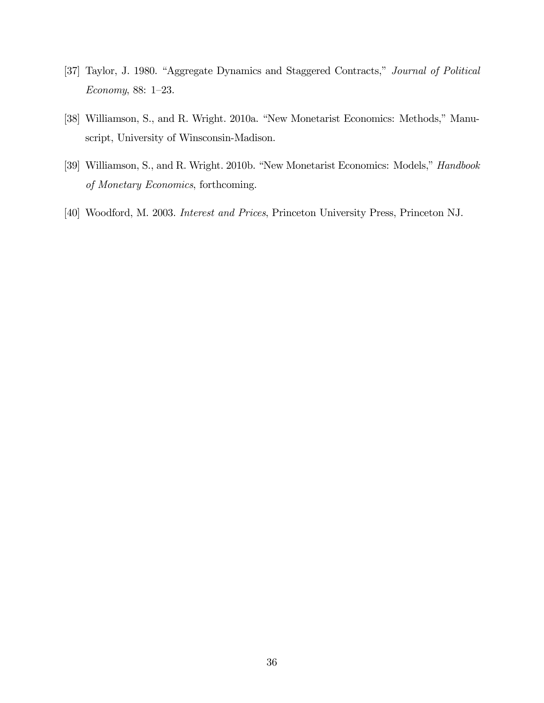- [37] Taylor, J. 1980. "Aggregate Dynamics and Staggered Contracts," Journal of Political Economy, 88: 1—23.
- [38] Williamson, S., and R. Wright. 2010a. "New Monetarist Economics: Methods," Manuscript, University of Winsconsin-Madison.
- [39] Williamson, S., and R. Wright. 2010b. "New Monetarist Economics: Models," Handbook of Monetary Economics, forthcoming.
- [40] Woodford, M. 2003. Interest and Prices, Princeton University Press, Princeton NJ.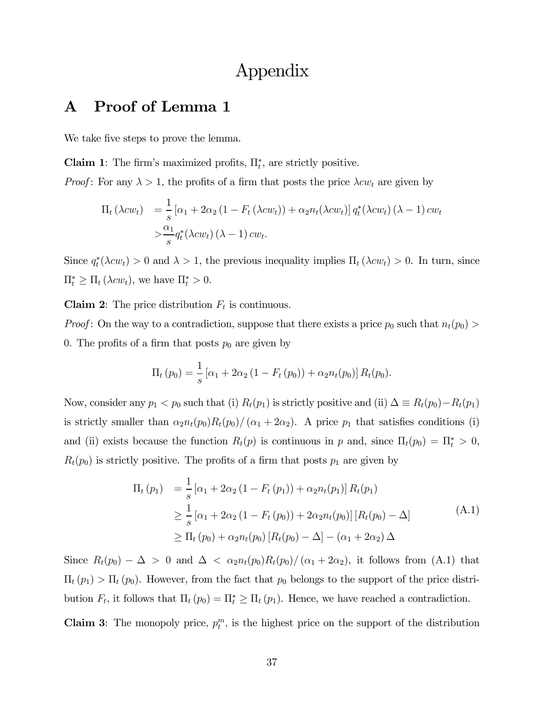## Appendix

### A Proof of Lemma 1

We take five steps to prove the lemma.

**Claim 1**: The firm's maximized profits,  $\Pi_t^*$ , are strictly positive.

*Proof*: For any  $\lambda > 1$ , the profits of a firm that posts the price  $\lambda c w_t$  are given by

$$
\Pi_t (\lambda c w_t) = \frac{1}{s} \left[ \alpha_1 + 2\alpha_2 \left( 1 - F_t (\lambda c w_t) \right) + \alpha_2 n_t (\lambda c w_t) \right] q_t^* (\lambda c w_t) (\lambda - 1) c w_t
$$
  

$$
> \frac{\alpha_1}{s} q_t^* (\lambda c w_t) (\lambda - 1) c w_t.
$$

Since  $q_t^*(\lambda c w_t) > 0$  and  $\lambda > 1$ , the previous inequality implies  $\Pi_t(\lambda c w_t) > 0$ . In turn, since  $\Pi_t^* \geq \Pi_t (\lambda c w_t)$ , we have  $\Pi_t^* > 0$ .

**Claim 2:** The price distribution  $F_t$  is continuous.

*Proof*: On the way to a contradiction, suppose that there exists a price  $p_0$  such that  $n_t(p_0)$ 0. The profits of a firm that posts  $p_0$  are given by

$$
\Pi_t (p_0) = \frac{1}{s} [\alpha_1 + 2\alpha_2 (1 - F_t (p_0)) + \alpha_2 n_t (p_0)] R_t (p_0).
$$

Now, consider any  $p_1 < p_0$  such that (i)  $R_t(p_1)$  is strictly positive and (ii)  $\Delta \equiv R_t(p_0) - R_t(p_1)$ is strictly smaller than  $\alpha_2 n_t(p_0)R_t(p_0)/(\alpha_1 + 2\alpha_2)$ . A price  $p_1$  that satisfies conditions (i) and (ii) exists because the function  $R_t(p)$  is continuous in p and, since  $\Pi_t(p_0) = \Pi_t^* > 0$ ,  $R_t(p_0)$  is strictly positive. The profits of a firm that posts  $p_1$  are given by

$$
\Pi_{t}(p_{1}) = \frac{1}{s} [\alpha_{1} + 2\alpha_{2} (1 - F_{t}(p_{1})) + \alpha_{2} n_{t}(p_{1})] R_{t}(p_{1})
$$
\n
$$
\geq \frac{1}{s} [\alpha_{1} + 2\alpha_{2} (1 - F_{t}(p_{0})) + 2\alpha_{2} n_{t}(p_{0})] [R_{t}(p_{0}) - \Delta]
$$
\n
$$
\geq \Pi_{t}(p_{0}) + \alpha_{2} n_{t}(p_{0}) [R_{t}(p_{0}) - \Delta] - (\alpha_{1} + 2\alpha_{2}) \Delta
$$
\n(A.1)

Since  $R_t(p_0) - \Delta > 0$  and  $\Delta < \alpha_2 n_t(p_0)R_t(p_0)/(\alpha_1 + 2\alpha_2)$ , it follows from (A.1) that  $\Pi_t(p_1) > \Pi_t(p_0)$ . However, from the fact that  $p_0$  belongs to the support of the price distribution  $F_t$ , it follows that  $\Pi_t(p_0) = \Pi_t^* \geq \Pi_t(p_1)$ . Hence, we have reached a contradiction.

Claim 3: The monopoly price,  $p_t^m$ , is the highest price on the support of the distribution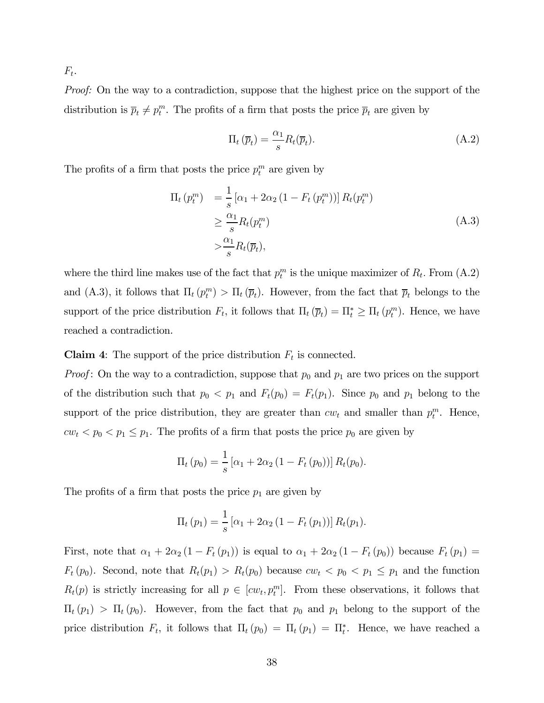$F_t$ .

Proof: On the way to a contradiction, suppose that the highest price on the support of the distribution is  $\overline{p}_t \neq p_t^m$ . The profits of a firm that posts the price  $\overline{p}_t$  are given by

$$
\Pi_t \left( \overline{p}_t \right) = \frac{\alpha_1}{s} R_t(\overline{p}_t). \tag{A.2}
$$

The profits of a firm that posts the price  $p_t^m$  are given by

$$
\Pi_t (p_t^m) = \frac{1}{s} [\alpha_1 + 2\alpha_2 (1 - F_t (p_t^m))] R_t (p_t^m)
$$
  
\n
$$
\geq \frac{\alpha_1}{s} R_t (p_t^m)
$$
  
\n
$$
> \frac{\alpha_1}{s} R_t (\overline{p}_t),
$$
\n(A.3)

where the third line makes use of the fact that  $p_t^m$  is the unique maximizer of  $R_t$ . From  $(A.2)$ and (A.3), it follows that  $\Pi_t(p_t^m) > \Pi_t(\overline{p}_t)$ . However, from the fact that  $\overline{p}_t$  belongs to the support of the price distribution  $F_t$ , it follows that  $\Pi_t(\overline{p}_t) = \Pi_t^* \geq \Pi_t(p_t^m)$ . Hence, we have reached a contradiction.

#### **Claim 4:** The support of the price distribution  $F_t$  is connected.

*Proof*: On the way to a contradiction, suppose that  $p_0$  and  $p_1$  are two prices on the support of the distribution such that  $p_0 < p_1$  and  $F_t(p_0) = F_t(p_1)$ . Since  $p_0$  and  $p_1$  belong to the support of the price distribution, they are greater than  $cw_t$  and smaller than  $p_t^m$ . Hence,  $cw_t < p_0 < p_1 \leq p_1$ . The profits of a firm that posts the price  $p_0$  are given by

$$
\Pi_t (p_0) = \frac{1}{s} [\alpha_1 + 2\alpha_2 (1 - F_t (p_0))] R_t (p_0).
$$

The profits of a firm that posts the price  $p_1$  are given by

$$
\Pi_{t}(p_{1}) = \frac{1}{s} [\alpha_{1} + 2\alpha_{2} (1 - F_{t}(p_{1}))] R_{t}(p_{1}).
$$

First, note that  $\alpha_1 + 2\alpha_2 (1 - F_t (p_1))$  is equal to  $\alpha_1 + 2\alpha_2 (1 - F_t (p_0))$  because  $F_t (p_1)$  =  $F_t(p_0)$ . Second, note that  $R_t(p_1) > R_t(p_0)$  because  $cw_t < p_0 < p_1 \leq p_1$  and the function  $R_t(p)$  is strictly increasing for all  $p \in [cw_t, p_t^m]$ . From these observations, it follows that  $\Pi_t(p_1) > \Pi_t(p_0)$ . However, from the fact that  $p_0$  and  $p_1$  belong to the support of the price distribution  $F_t$ , it follows that  $\Pi_t(p_0) = \Pi_t(p_1) = \Pi_t^*$ . Hence, we have reached a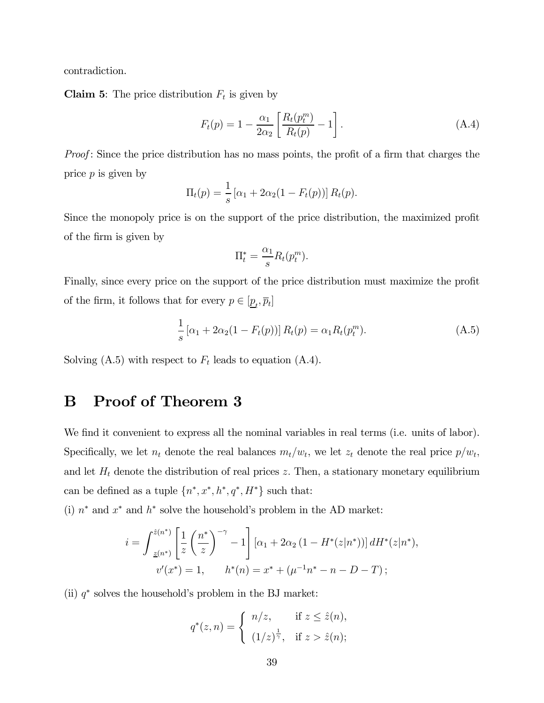contradiction.

**Claim 5:** The price distribution  $F_t$  is given by

$$
F_t(p) = 1 - \frac{\alpha_1}{2\alpha_2} \left[ \frac{R_t(p_t^m)}{R_t(p)} - 1 \right].
$$
 (A.4)

Proof: Since the price distribution has no mass points, the profit of a firm that charges the price  $p$  is given by

$$
\Pi_t(p) = \frac{1}{s} [\alpha_1 + 2\alpha_2(1 - F_t(p))] R_t(p).
$$

Since the monopoly price is on the support of the price distribution, the maximized profit of the firm is given by

$$
\Pi_t^* = \frac{\alpha_1}{s} R_t(p_t^m).
$$

Finally, since every price on the support of the price distribution must maximize the profit of the firm, it follows that for every  $p \in [\underline{p}_t, \overline{p}_t]$ 

$$
\frac{1}{s} [\alpha_1 + 2\alpha_2 (1 - F_t(p))] R_t(p) = \alpha_1 R_t(p_t^m).
$$
 (A.5)

Solving  $(A.5)$  with respect to  $F_t$  leads to equation  $(A.4)$ .

### B Proof of Theorem 3

We find it convenient to express all the nominal variables in real terms (i.e. units of labor). Specifically, we let  $n_t$  denote the real balances  $m_t/w_t$ , we let  $z_t$  denote the real price  $p/w_t$ , and let  $H_t$  denote the distribution of real prices z. Then, a stationary monetary equilibrium can be defined as a tuple  $\{n^*, x^*, h^*, q^*, H^*\}$  such that:

(i)  $n^*$  and  $x^*$  and  $h^*$  solve the household's problem in the AD market:

$$
i = \int_{\underline{z}(n^*)}^{\hat{z}(n^*)} \left[ \frac{1}{z} \left( \frac{n^*}{z} \right)^{-\gamma} - 1 \right] \left[ \alpha_1 + 2\alpha_2 \left( 1 - H^*(z|n^*) \right) \right] dH^*(z|n^*),
$$
  

$$
v'(x^*) = 1, \qquad h^*(n) = x^* + (\mu^{-1}n^* - n - D - T) ;
$$

(ii)  $q^*$  solves the household's problem in the BJ market:

$$
q^*(z,n) = \begin{cases} n/z, & \text{if } z \le \hat{z}(n), \\ (1/z)^{\frac{1}{\gamma}}, & \text{if } z > \hat{z}(n); \end{cases}
$$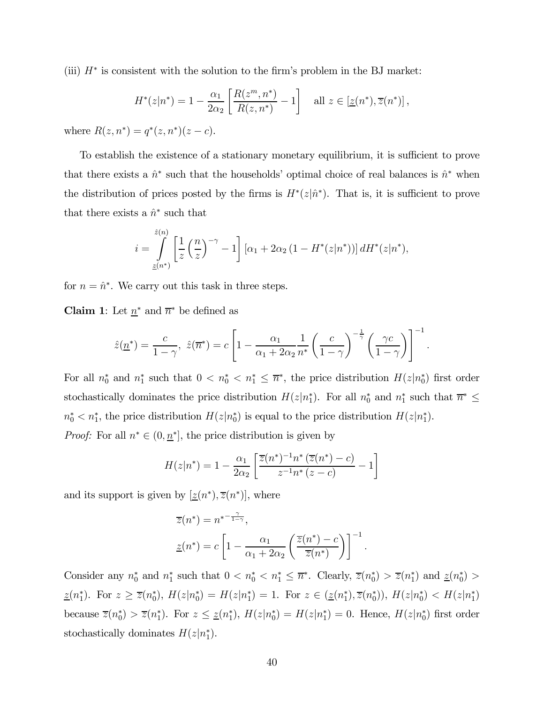(iii)  $H^*$  is consistent with the solution to the firm's problem in the BJ market:

$$
H^*(z|n^*) = 1 - \frac{\alpha_1}{2\alpha_2} \left[ \frac{R(z^m, n^*)}{R(z, n^*)} - 1 \right] \quad \text{all } z \in [z(n^*), \overline{z}(n^*)],
$$

where  $R(z, n^*) = q^*(z, n^*)(z - c)$ .

To establish the existence of a stationary monetary equilibrium, it is sufficient to prove that there exists a  $\hat{n}^*$  such that the households' optimal choice of real balances is  $\hat{n}^*$  when the distribution of prices posted by the firms is  $H^*(z|\hat{n}^*)$ . That is, it is sufficient to prove that there exists a  $\hat{n}^*$  such that

$$
i = \int_{\underline{z}(n^*)}^{\hat{z}(n)} \left[ \frac{1}{z} \left( \frac{n}{z} \right)^{-\gamma} - 1 \right] \left[ \alpha_1 + 2\alpha_2 \left( 1 - H^*(z|n^*) \right) \right] dH^*(z|n^*),
$$

for  $n = \hat{n}^*$ . We carry out this task in three steps.

**Claim 1:** Let  $\underline{n}^*$  and  $\overline{n}^*$  be defined as

$$
\hat{z}(\underline{n}^*) = \frac{c}{1-\gamma}, \ \hat{z}(\overline{n}^*) = c \left[1 - \frac{\alpha_1}{\alpha_1 + 2\alpha_2} \frac{1}{n^*} \left(\frac{c}{1-\gamma}\right)^{-\frac{1}{\gamma}} \left(\frac{\gamma c}{1-\gamma}\right)\right]^{-1}.
$$

For all  $n_0^*$  and  $n_1^*$  such that  $0 < n_0^* < n_1^* \leq \overline{n}^*$ , the price distribution  $H(z|n_0^*)$  first order stochastically dominates the price distribution  $H(z|n_1^*)$ . For all  $n_0^*$  and  $n_1^*$  such that  $\overline{n}^* \leq$  $n_0^* < n_1^*$ , the price distribution  $H(z|n_0^*)$  is equal to the price distribution  $H(z|n_1^*)$ .

*Proof:* For all  $n^* \in (0, \underline{n}^*]$ , the price distribution is given by

$$
H(z|n^*) = 1 - \frac{\alpha_1}{2\alpha_2} \left[ \frac{\overline{z}(n^*)^{-1} n^* \left( \overline{z}(n^*) - c \right)}{z^{-1} n^* \left( z - c \right)} - 1 \right]
$$

and its support is given by  $[\underline{z}(n^*), \overline{z}(n^*)]$ , where

$$
\overline{z}(n^*) = n^{* - \frac{\gamma}{1 - \gamma}},
$$
  

$$
\underline{z}(n^*) = c \left[ 1 - \frac{\alpha_1}{\alpha_1 + 2\alpha_2} \left( \frac{\overline{z}(n^*) - c}{\overline{z}(n^*)} \right) \right]^{-1}.
$$

Consider any  $n_0^*$  and  $n_1^*$  such that  $0 < n_0^* < n_1^* \leq \overline{n}^*$ . Clearly,  $\overline{z}(n_0^*) > \overline{z}(n_1^*)$  and  $\underline{z}(n_0^*) >$  $\underline{z}(n_1^*)$ . For  $z \ge \overline{z}(n_0^*)$ ,  $H(z|n_0^*) = H(z|n_1^*) = 1$ . For  $z \in (\underline{z}(n_1^*), \overline{z}(n_0^*))$ ,  $H(z|n_0^*) < H(z|n_1^*)$ because  $\overline{z}(n_0^*) > \overline{z}(n_1^*)$ . For  $z \leq \underline{z}(n_1^*)$ ,  $H(z|n_0^*) = H(z|n_1^*) = 0$ . Hence,  $H(z|n_0^*)$  first order stochastically dominates  $H(z|n_1^*)$ .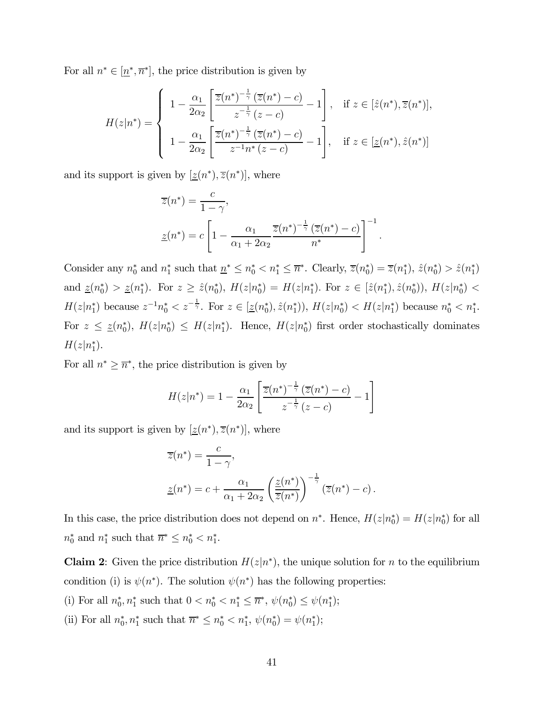For all  $n^* \in [\underline{n}^*, \overline{n}^*]$ , the price distribution is given by

$$
H(z|n^*) = \begin{cases} 1 - \frac{\alpha_1}{2\alpha_2} \left[ \frac{\overline{z}(n^*)^{-\frac{1}{\gamma}} (\overline{z}(n^*) - c)}{z^{-\frac{1}{\gamma}} (z - c)} - 1 \right], & \text{if } z \in [\hat{z}(n^*), \overline{z}(n^*)],\\ 1 - \frac{\alpha_1}{2\alpha_2} \left[ \frac{\overline{z}(n^*)^{-\frac{1}{\gamma}} (\overline{z}(n^*) - c)}{z^{-1} n^* (z - c)} - 1 \right], & \text{if } z \in [\underline{z}(n^*), \hat{z}(n^*)] \end{cases}
$$

and its support is given by  $[\underline{z}(n^*), \overline{z}(n^*)]$ , where

$$
\overline{z}(n^*) = \frac{c}{1 - \gamma},
$$
  
\n
$$
\underline{z}(n^*) = c \left[ 1 - \frac{\alpha_1}{\alpha_1 + 2\alpha_2} \frac{\overline{z}(n^*)^{-\frac{1}{\gamma}} (\overline{z}(n^*) - c)}{n^*} \right]^{-1}.
$$

Consider any  $n_0^*$  and  $n_1^*$  such that  $n^* \leq n_0^* < n_1^* \leq \overline{n}^*$ . Clearly,  $\overline{z}(n_0^*) = \overline{z}(n_1^*)$ ,  $\hat{z}(n_0^*) > \hat{z}(n_1^*)$ and  $\underline{z}(n_0^*) > \underline{z}(n_1^*)$ . For  $z \geq \hat{z}(n_0^*)$ ,  $H(z|n_0^*) = H(z|n_1^*)$ . For  $z \in [\hat{z}(n_1^*), \hat{z}(n_0^*))$ ,  $H(z|n_0^*) <$  $H(z|n_1^*)$  because  $z^{-1}n_0^* < z^{-\frac{1}{\gamma}}$ . For  $z \in [\underline{z}(n_0^*), \hat{z}(n_1^*)), H(z|n_0^*) < H(z|n_1^*)$  because  $n_0^* < n_1^*$ . For  $z \leq \underline{z}(n_0^*)$ ,  $H(z|n_0^*) \leq H(z|n_1^*)$ . Hence,  $H(z|n_0^*)$  first order stochastically dominates  $H(z|n_1^*).$ 

For all  $n^* \geq \overline{n}^*$ , the price distribution is given by

$$
H(z|n^*) = 1 - \frac{\alpha_1}{2\alpha_2} \left[ \frac{\overline{z}(n^*)^{-\frac{1}{\gamma}} (\overline{z}(n^*) - c)}{z^{-\frac{1}{\gamma}} (z - c)} - 1 \right]
$$

and its support is given by  $[\underline{z}(n^*), \overline{z}(n^*)]$ , where

$$
\overline{z}(n^*) = \frac{c}{1 - \gamma},
$$
  

$$
\underline{z}(n^*) = c + \frac{\alpha_1}{\alpha_1 + 2\alpha_2} \left(\frac{\underline{z}(n^*)}{\overline{z}(n^*)}\right)^{-\frac{1}{\gamma}} \left(\overline{z}(n^*) - c\right).
$$

In this case, the price distribution does not depend on  $n^*$ . Hence,  $H(z|n_0^*) = H(z|n_0^*)$  for all  $n_0^*$  and  $n_1^*$  such that  $\overline{n}^* \leq n_0^* < n_1^*$ .

**Claim 2:** Given the price distribution  $H(z|n^*)$ , the unique solution for n to the equilibrium condition (i) is  $\psi(n^*)$ . The solution  $\psi(n^*)$  has the following properties:

- (i) For all  $n_0^*, n_1^*$  such that  $0 < n_0^* < n_1^* \leq \overline{n}^*, \psi(n_0^*) \leq \psi(n_1^*);$
- (ii) For all  $n_0^*, n_1^*$  such that  $\overline{n}^* \leq n_0^* < n_1^*, \psi(n_0^*) = \psi(n_1^*);$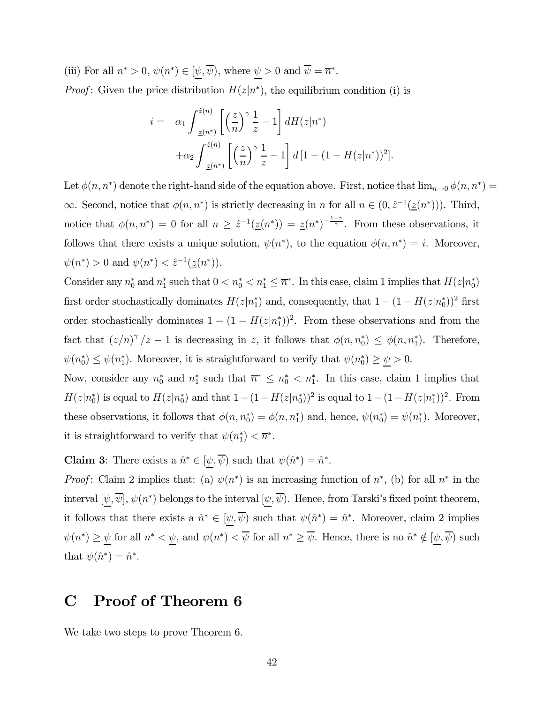(iii) For all  $n^* > 0$ ,  $\psi(n^*) \in [\underline{\psi}, \overline{\psi})$ , where  $\underline{\psi} > 0$  and  $\overline{\psi} = \overline{n}^*$ . *Proof*: Given the price distribution  $H(z|n^*)$ , the equilibrium condition (i) is

$$
i = \alpha_1 \int_{\underline{z}(n^*)}^{\hat{z}(n)} \left[ \left(\frac{z}{n}\right)^{\gamma} \frac{1}{z} - 1 \right] dH(z|n^*)
$$

$$
+ \alpha_2 \int_{\underline{z}(n^*)}^{\hat{z}(n)} \left[ \left(\frac{z}{n}\right)^{\gamma} \frac{1}{z} - 1 \right] d\left[1 - (1 - H(z|n^*))^2\right].
$$

Let  $\phi(n, n^*)$  denote the right-hand side of the equation above. First, notice that  $\lim_{n\to 0} \phi(n, n^*)$  $\infty$ . Second, notice that  $\phi(n, n^*)$  is strictly decreasing in n for all  $n \in (0, \hat{z}^{-1}(\underline{z}(n^*)))$ . Third, notice that  $\phi(n,n^*)=0$  for all  $n \geq \hat{z}^{-1}(\underline{z}(n^*)) = \underline{z}(n^*)^{-\frac{1-\gamma}{\gamma}}$ . From these observations, it follows that there exists a unique solution,  $\psi(n^*)$ , to the equation  $\phi(n, n^*) = i$ . Moreover,  $\psi(n^*) > 0$  and  $\psi(n^*) < \hat{z}^{-1}(\underline{z}(n^*)).$ 

Consider any  $n_0^*$  and  $n_1^*$  such that  $0 < n_0^* < n_1^* \leq \overline{n}^*$ . In this case, claim 1 implies that  $H(z|n_0^*)$ first order stochastically dominates  $H(z|n_1^*)$  and, consequently, that  $1 - (1 - H(z|n_0^*))^2$  first order stochastically dominates  $1 - (1 - H(z|n_1^*))^2$ . From these observations and from the fact that  $(z/n)^{\gamma}/z - 1$  is decreasing in z, it follows that  $\phi(n, n_0^*) \leq \phi(n, n_1^*)$ . Therefore,  $\psi(n_0^*) \leq \psi(n_1^*)$ . Moreover, it is straightforward to verify that  $\psi(n_0^*) \geq \underline{\psi} > 0$ .

Now, consider any  $n_0^*$  and  $n_1^*$  such that  $\overline{n}^* \leq n_0^* < n_1^*$ . In this case, claim 1 implies that  $H(z|n_0^*)$  is equal to  $H(z|n_0^*)$  and that  $1-(1-H(z|n_0^*))^2$  is equal to  $1-(1-H(z|n_1^*))^2$ . From these observations, it follows that  $\phi(n, n_0^*) = \phi(n, n_1^*)$  and, hence,  $\psi(n_0^*) = \psi(n_1^*)$ . Moreover, it is straightforward to verify that  $\psi(n_1^*) < \overline{n}^*$ .

**Claim 3:** There exists a  $\hat{n}^* \in [\underline{\psi}, \overline{\psi})$  such that  $\psi(\hat{n}^*) = \hat{n}^*$ .

*Proof*: Claim 2 implies that: (a)  $\psi(n^*)$  is an increasing function of  $n^*$ , (b) for all  $n^*$  in the interval  $[\psi, \overline{\psi}], \psi(n^*)$  belongs to the interval  $[\psi, \overline{\psi}]$ . Hence, from Tarski's fixed point theorem, it follows that there exists a  $\hat{n}^* \in [\psi, \overline{\psi})$  such that  $\psi(\hat{n}^*) = \hat{n}^*$ . Moreover, claim 2 implies  $\psi(n^*) \geq \underline{\psi}$  for all  $n^* < \underline{\psi}$ , and  $\psi(n^*) < \overline{\psi}$  for all  $n^* \geq \overline{\psi}$ . Hence, there is no  $\hat{n}^* \notin [\underline{\psi}, \overline{\psi})$  such that  $\psi(\hat{n}^*)=\hat{n}^*$ .

### C Proof of Theorem 6

We take two steps to prove Theorem 6.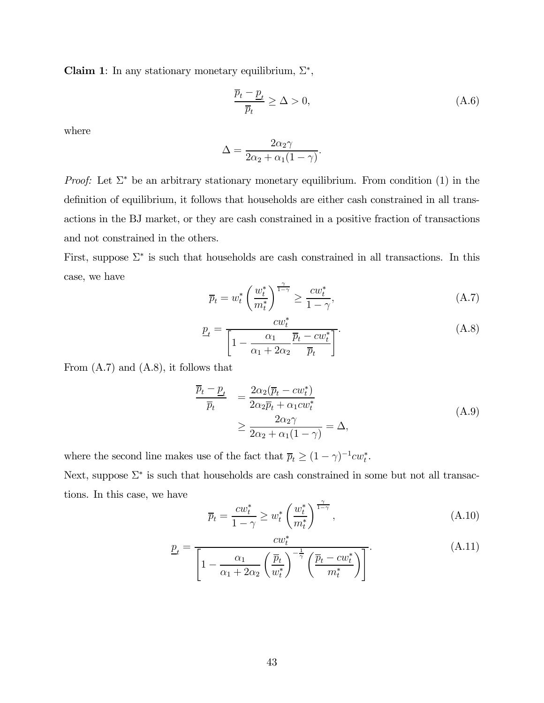Claim 1: In any stationary monetary equilibrium,  $\Sigma^*$ ,

$$
\frac{\overline{p}_t - \underline{p}_t}{\overline{p}_t} \ge \Delta > 0,\tag{A.6}
$$

where

$$
\Delta = \frac{2\alpha_2\gamma}{2\alpha_2 + \alpha_1(1-\gamma)}.
$$

*Proof:* Let  $\Sigma^*$  be an arbitrary stationary monetary equilibrium. From condition (1) in the definition of equilibrium, it follows that households are either cash constrained in all transactions in the BJ market, or they are cash constrained in a positive fraction of transactions and not constrained in the others.

First, suppose  $\Sigma^*$  is such that households are cash constrained in all transactions. In this case, we have

$$
\overline{p}_t = w_t^* \left(\frac{w_t^*}{m_t^*}\right)^{\frac{\gamma}{1-\gamma}} \ge \frac{cw_t^*}{1-\gamma},\tag{A.7}
$$

$$
\underline{p}_t = \frac{cw_t^*}{\left[1 - \frac{\alpha_1}{\alpha_1 + 2\alpha_2} \frac{\overline{p}_t - cw_t^*}{\overline{p}_t}\right]}.
$$
\n(A.8)

From (A.7) and (A.8), it follows that

$$
\frac{\overline{p}_t - \underline{p}_t}{\overline{p}_t} = \frac{2\alpha_2(\overline{p}_t - cw_t^*)}{2\alpha_2 \overline{p}_t + \alpha_1 cw_t^*} \ge \frac{2\alpha_2 \gamma}{2\alpha_2 + \alpha_1 (1 - \gamma)} = \Delta,
$$
\n(A.9)

where the second line makes use of the fact that  $\overline{p}_t \geq (1 - \gamma)^{-1} c w_t^*$ . Next, suppose  $\Sigma^*$  is such that households are cash constrained in some but not all transactions. In this case, we have

$$
\overline{p}_t = \frac{cw_t^*}{1-\gamma} \ge w_t^* \left(\frac{w_t^*}{m_t^*}\right)^{\frac{\gamma}{1-\gamma}}, \tag{A.10}
$$

$$
\underline{p}_t = \frac{c w_t^*}{\left[1 - \frac{\alpha_1}{\alpha_1 + 2\alpha_2} \left(\frac{\overline{p}_t}{w_t^*}\right)^{-\frac{1}{\gamma}} \left(\frac{\overline{p}_t - c w_t^*}{m_t^*}\right)\right]}.
$$
(A.11)